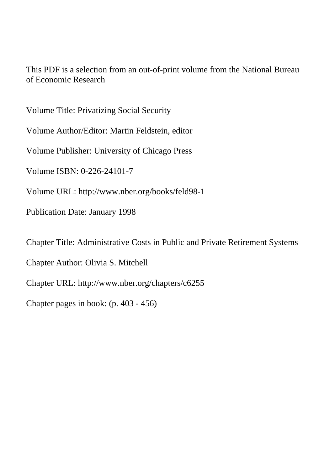This PDF is a selection from an out-of-print volume from the National Bureau of Economic Research

Volume Title: Privatizing Social Security

Volume Author/Editor: Martin Feldstein, editor

Volume Publisher: University of Chicago Press

Volume ISBN: 0-226-24101-7

Volume URL: http://www.nber.org/books/feld98-1

Publication Date: January 1998

Chapter Title: Administrative Costs in Public and Private Retirement Systems

Chapter Author: Olivia S. Mitchell

Chapter URL: http://www.nber.org/chapters/c6255

Chapter pages in book: (p. 403 - 456)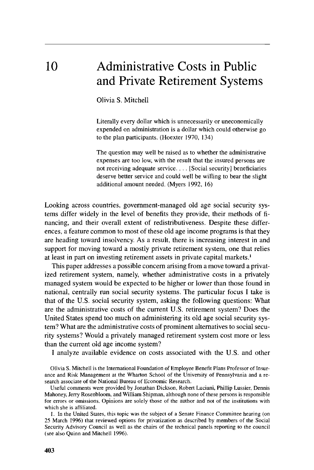# 10 Administrative Costs in Public and Private Retirement Systems

Olivia **S.** Mitchell

Literally every dollar which is unnecessarily or uneconomically expended on administration is a dollar which could otherwise go to the plan participants. (Hoexter 1970, 134)

The question may well be raised as to whether the administrative expenses are too low, with the result that the insured persons are not receiving adequate service. . . . [Social security] beneficiaries deserve better service and could well be willing to bear the slight additional amount needed. (Myers 1992, 16)

Looking across countries, government-managed old age social security systems differ widely in the level of benefits they provide, their methods of financing, and their overall extent of redistributiveness. Despite these differences, a feature common to most of these old age income programs is that they are heading toward insolvency. **As** a result, there is increasing interest in and support for moving toward a mostly private retirement system, one that relies at least in part on investing retirement assets in private capital markets.'

This paper addresses a possible concern arising from a move toward a privatized retirement system, namely, whether administrative costs in a privately managed system would be expected to be higher or lower than those found in national, centrally run social security systems. The particular focus **I** take is that of the U.S. social security system, asking the following questions: What are the administrative costs of the current **U.S.** retirement system? Does the United States spend too much on administering its old age social security system? What are the administrative costs of prominent alternatives to social security systems? Would a privately managed retirement system cost more or less than the current old age income system?

I analyze available evidence on costs associated with the **U.S.** and other

Olivia **S.** Mitchell is the International Foundation of Employee Benefit Plans Professor of Insurance and Risk Management at the Wharton School of the University of Pennsylvania and a research associate of the National Bureau of Economic Research.

Useful comments were provided by Jonathan Dickson, Robert Luciani, Phillip Lussier, Dennis Mahoney, Jerry Rosenbloom, and William Shipman, although none of these persons is responsible for errors or omissions. Opinions are solely those of the author and not of the institutions with which she is affiliated.

<sup>1.</sup> In the United States, this topic was the subject of a Senate Finance Committee hearing (on 25 March 1996) that reviewed options **for** privatization as described by members of the Social Security Advisory Council as well as the chairs of the technical panels reporting to the council (see also Quinn and Mitchell 1996).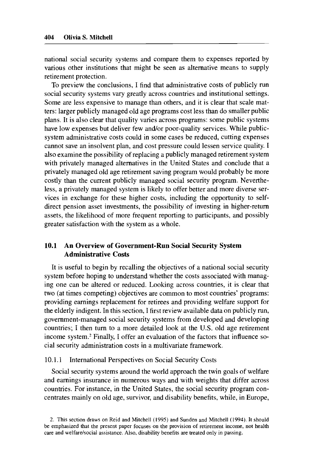national social security systems and compare them to expenses reported by various other institutions that might be seen as alternative means to supply retirement protection.

To preview the conclusions, I find that administrative costs of publicly run social security systems vary greatly across countries and institutional settings. Some are less expensive to manage than others, and it is clear that scale matters: larger publicly managed old age programs cost less than do smaller public plans. It is also clear that quality varies across programs: some public systems have low expenses but deliver few and/or poor-quality services. While publicsystem administrative costs could in some cases be reduced, cutting expenses cannot save an insolvent plan, and cost pressure could lessen service quality. I also examine the possibility of replacing a publicly managed retirement system with privately managed alternatives in the United States and conclude that a privately managed old age retirement saving program would probably be more costly than the current publicly managed social security program. Nevertheless, a privately managed system is likely to offer better and more diverse services in exchange for these higher costs, including the opportunity to selfdirect pension asset investments, the possibility of investing in higher-return assets, the likelihood of more frequent reporting to participants, and possibly greater satisfaction with the system as a whole.

# **10.1 An Overview of Government-Run Social Security System Administrative Costs**

It is useful to begin by recalling the objectives of a national social security system before hoping to understand whether the costs associated with managing one can be altered or reduced. Looking across countries, it is clear that two (at times competing) objectives are common to most countries' programs: providing earnings replacement for retirees and providing welfare support for the elderly indigent. In this section, I first review available data on publicly run, government-managed social security systems from developed and developing countries; I then turn to a more detailed look at the U.S. old age retirement income system.<sup>2</sup> Finally, I offer an evaluation of the factors that influence social security administration costs in a multivariate framework.

#### 10.1.1 International Perspectives on Social Security Costs

Social security systems around the world approach the twin goals of welfare and earnings insurance in numerous ways and with weights that differ across countries. For instance, in the United States, the social security program concentrates mainly on old age, survivor, and disability benefits, while, in Europe,

<sup>2.</sup> This section draws on Reid and Mitchell (1995) and Sunden and Mitchell (1994). It should be emphasized that the present paper focuses on the provision of retirement income, not health care and welfare/social assistance. **Also,** disability benefits are treated only in passing.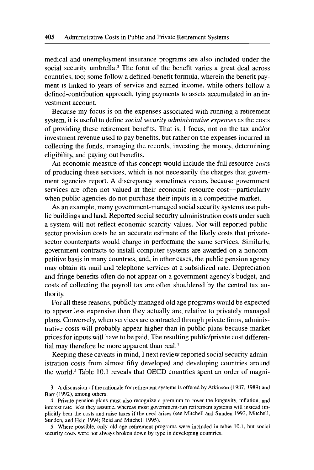medical and unemployment insurance programs are also included under the social security umbrella.<sup>3</sup> The form of the benefit varies a great deal across countries, too; some follow a defined-benefit formula, wherein the benefit payment is linked to years of service and earned income, while others follow a defined-contribution approach, tying payments to assets accumulated in an investment account.

Because my focus is on the expenses associated with running a retirement system, it is useful to define *social security administrative expenses* as the costs of providing these retirement benefits. That is, I focus. not on the tax and/or investment revenue used to pay benefits, but rather on the expenses incurred in collecting the funds, managing the records, investing the money, determining eligibility, and paying out benefits.

An economic measure of this concept would include the full resource costs of producing these services, which is not necessarily the charges that govemment agencies report. **A** discrepancy sometimes occurs because government services are often not valued at their economic resource cost-particularly when public agencies do not purchase their inputs in a competitive market.

**As** an example, many government-managed social security systems use public buildings and land. Reported social security administration costs under such a system will not reflect economic scarcity values. Nor will reported publicsector provision costs be an accurate estimate of the likely costs that privatesector counterparts would charge in performing the same services. Similarly, government contracts to install computer systems are awarded on a noncompetitive basis in many countries, and, in other cases, the public pension agency may obtain its mail and telephone services at a subsidized rate. Depreciation and fringe benefits often do not appear on a government agency's budget, and costs of collecting the payroll tax are often shouldered by the central tax authority.

For all these reasons, publicly managed old age programs would be expected to appear less expensive than they actually are, relative to privately managed plans. Conversely, when services are contracted through private firms, administrative costs will probably appear higher than in public plans because market prices for inputs will have to be paid. The resulting public/private cost differential may therefore be more apparent than real. $4$ 

Keeping these caveats in mind, **I** next review reported social security administration costs from almost fifty developed and developing countries around the world.5 Table 10.1 reveals that OECD countries spent an order of magni-

**3. A** discussion of the rationale for retirement systems is offered by Atkinson (1987, 1989) and Barr (1992), among others.

4. Private pension plans must also recognize a premium to cover the longevity, inflation, and interest rate risks they assume, whereas most government-run retirement systems will instead implicitly bear the costs and raise taxes if the need arises (see Mitchell and Sunden 1993; Mitchell, Sunden, and Hsin 1994; Reid and Mitchell 1995).

*5.* Where possible, only old age retirement programs were included in table 10.1, but social security costs were not always broken down by type in developing countries.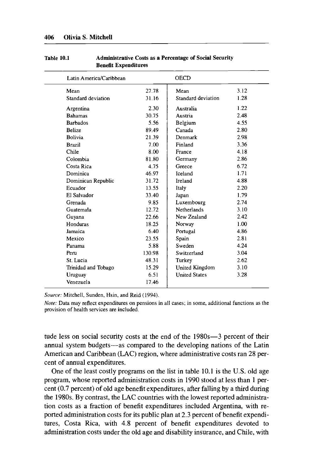| Latin America/Caribbean |        | <b>OECD</b>           |      |
|-------------------------|--------|-----------------------|------|
| Mean                    | 27.78  | Mean                  | 3.12 |
| Standard deviation      | 31.16  | Standard deviation    | 1.28 |
| Argentina               | 2.30   | Australia             | 1.22 |
| <b>Bahamas</b>          | 30.75  | Austria               | 2.48 |
| <b>Barbados</b>         | 5.56   | Belgium               | 4.55 |
| <b>Belize</b>           | 89.49  | Canada                | 2.80 |
| <b>Bolivia</b>          | 21.39  | Denmark               | 298  |
| <b>Brazil</b>           | 7.00   | Finland               | 3.36 |
| Chile                   | 8.00   | France                | 4.18 |
| Colombia                | 81.80  | Germany               | 2.86 |
| Costa Rica              | 4.75   | Greece                | 6.72 |
| Dominica                | 46.97  | Iceland               | 1.71 |
| Dominican Republic      | 31.72  | <b>Ireland</b>        | 4.88 |
| Ecuador                 | 13.55  | Italy                 | 2.20 |
| El Salvador             | 33.40  | Japan                 | 1.79 |
| Grenada                 | 9.85   | Luxembourg            | 2.74 |
| Guatemala               | 12.72  | <b>Netherlands</b>    | 3.10 |
| Guyana                  | 22.66  | New Zealand           | 2.42 |
| Honduras                | 18.25  | Norway                | 1.00 |
| Jamaica                 | 6.40   | Portugal              | 4.86 |
| Mexico                  | 23.55  | Spain                 | 2.81 |
| Panama                  | 5.88   | Sweden                | 4.24 |
| Peru                    | 130.98 | Switzerland           | 3.04 |
| St. Lucia               | 48.31  | Turkey                | 2.62 |
| Trinidad and Tobago     | 15.29  | <b>United Kingdom</b> | 3.10 |
| Uruguay                 | 6.51   | <b>United States</b>  | 3.28 |
| Venezuela               | 17.46  |                       |      |
|                         |        |                       |      |

#### **Table 10.1 Administrative Costs as a Percentage of Social Security Benefit Expenditures**

*Source:* Mitchell, Sunden, Hsin, and Reid (1994).

*Note;* Data may reflect expenditures on pensions in all cases; in some, additional functions as the provision of health services are included.

tude less on social security costs at the end of the 1980s-3 percent of their annual system budgets—as compared to the developing nations of the Latin American and Caribbean (LAC) region, where administrative costs ran 28 percent of annual expenditures.

One **of** the least costly programs on the list in table 10.1 is the **U.S.** old age program, whose reported administration costs in 1990 stood at less than 1 percent (0.7 percent) of old age benefit expenditures, after falling by a third during the 1980s. By contrast, the LAC countries with the lowest reported administration costs as a fraction of benefit expenditures included Argentina, with reported administration costs for its public plan at *2.3* percent of benefit expenditures, Costa Rica, with 4.8 percent of benefit expenditures devoted to administration costs under the old age and disability insurance, and Chile, with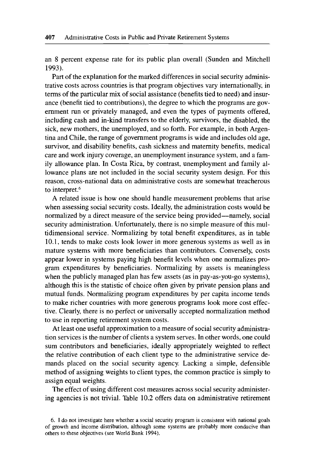an 8 percent expense rate for its public plan overall (Sunden and Mitchell 1993).

Part of the explanation for the marked differences in social security administrative costs across countries is that program objectives vary internationally, in terms of the particular mix of social assistance (benefits tied to need) and insurance (benefit tied to contributions), the degree to which the programs are government run or privately managed, and even the types of payments offered, including cash and in-kind transfers to the elderly, survivors, the disabled, the sick, new mothers, the unemployed, and so forth. **For** example, in both Argentina and Chile, the range of government programs is wide and includes old age, survivor, and disability benefits, cash sickness and maternity benefits, medical care and work injury coverage, an unemployment insurance system, and a family allowance plan. In Costa Rica, by contrast, unemployment and family allowance plans are not included in the social security system design. For this reason, cross-national data on administrative costs are somewhat treacherous to interpret.<sup>6</sup>

**A** related issue is how one should handle measurement problems that arise when assessing social security costs. Ideally, the administration costs would be normalized by a direct measure of the service being provided—namely, social security administration. Unfortunately, there is no simple measure of this multidimensional service. Normalizing by total benefit expenditures, as in table 10.1, tends to make costs look lower in more generous systems as well as in mature systems with more beneficiaries than contributors. Conversely, costs appear lower in systems paying high benefit levels when one normalizes program expenditures by beneficiaries. Normalizing by assets is meaningless when the publicly managed plan has few assets (as in pay-as-you-go systems), although this is the statistic of choice often given by private pension plans and mutual funds. Normalizing program expenditures by per capita income tends to make richer countries with more generous programs look more cost effective. Clearly, there is no perfect or universally accepted normalization method to use in reporting retirement system costs.

At least one useful approximation to a measure of social security administration services is the number of clients a system serves. In other words, one could sum contributors and beneficiaries, ideally appropriately weighted to reflect the relative contribution of each client type to the administrative service demands placed on the social security agency. Lacking a simple, defensible method of assigning weights to client types, the common practice is simply to assign equal weights.

The effect of using different cost measures across social security administering agencies is not trivial. Table 10.2 offers data on administrative retirement

*<sup>6.</sup>* I do not investigate here whether a social security program is consistent with national goals of growth and income distribution, although some systems are probably more conducive than others to these objectives (see World Bank 1994).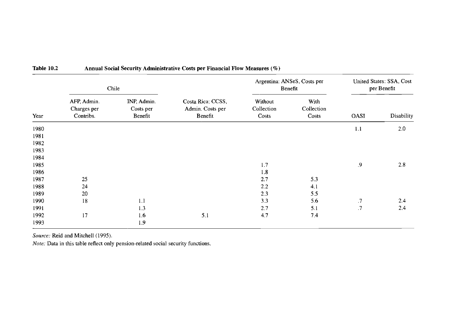|      |                                         | Chile                               | Costa Rica. CCSS,<br>Admin. Costs per<br>Benefit |                                | Argentina: ANSeS, Costs per<br>Benefit |             | United States: SSA, Cost<br>per Benefit |  |
|------|-----------------------------------------|-------------------------------------|--------------------------------------------------|--------------------------------|----------------------------------------|-------------|-----------------------------------------|--|
| Year | AFP, Admin.<br>Charges per<br>Contribs. | INP, Admin.<br>Costs per<br>Benefit |                                                  | Without<br>Collection<br>Costs | With<br>Collection<br>Costs            | <b>OASI</b> | Disability                              |  |
| 1980 |                                         |                                     |                                                  |                                |                                        | 1.1         | 2.0                                     |  |
| 1981 |                                         |                                     |                                                  |                                |                                        |             |                                         |  |
| 1982 |                                         |                                     |                                                  |                                |                                        |             |                                         |  |
| 1983 |                                         |                                     |                                                  |                                |                                        |             |                                         |  |
| 1984 |                                         |                                     |                                                  |                                |                                        |             |                                         |  |
| 1985 |                                         |                                     |                                                  | 1.7                            |                                        | -9          | 2.8                                     |  |
| 1986 |                                         |                                     |                                                  | 1.8                            |                                        |             |                                         |  |
| 1987 | 25                                      |                                     |                                                  | 2.7                            | 5.3                                    |             |                                         |  |
| 1988 | 24                                      |                                     |                                                  | 2.2                            | 4.1                                    |             |                                         |  |
| 1989 | 20                                      |                                     |                                                  | 2.3                            | 5.5                                    |             |                                         |  |
| 1990 | 18                                      | 1.1                                 |                                                  | 3.3                            | 5.6                                    | $\cdot$     | 2.4                                     |  |
| 1991 |                                         | 1.3                                 |                                                  | 2.7                            | 5.1                                    | .7          | 2.4                                     |  |
| 1992 | 17                                      | 1.6                                 | 5.1                                              | 4.7                            | 7.4                                    |             |                                         |  |
| 1993 |                                         | 1.9                                 |                                                  |                                |                                        |             |                                         |  |

#### **Table 10.2 Annual Social Security Administrative Costs per Financial Flow Measures** (%)

*Source:* Reid and Mitchell (1995).

*Note:* Data in this table reflect only pension-related social security functions.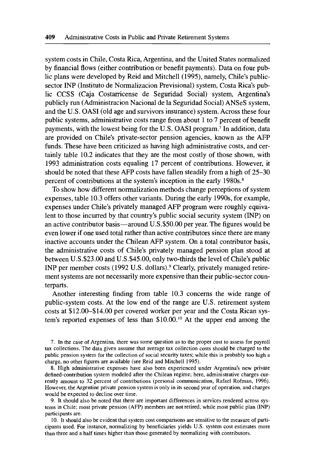system costs in Chile, Costa Rica, Argentina, and the United States normalized by financial flows (either contribution or benefit payments). Data on four public plans were developed by Reid and Mitchell (1995), namely, Chile's publicsector INP (Instituto de Normalizacion Previsional) system, Costa Rica's public CCSS (Caja Costarricense de Seguridad Social) system, Argentina's publicly run (Administracion Nacional de la Seguridad Social) ANSeS system, and the U.S. OASI (old age and survivors insurance) system. Across these four public systems, administrative costs range from about 1 to 7 percent of benefit payments, with the lowest being for the U.S. OASI program.' In addition, data are provided on Chile's private-sector pension agencies, known as the AFP funds. These have been criticized as having high administrative costs, and certainly table 10.2 indicates that they are the most costly of those shown, with 1993 administration costs equaling 17 percent of contributions. However, it should be noted that these AFP costs have fallen steadily from a high of 25-30 percent of contributions at the system's inception in the early 1980s.\*

To show how different normalization methods change perceptions of system expenses, table 10.3 offers other variants. During the early 1990s, for example, expenses under Chile's privately managed AFP program were roughly equivalent to those incurred by that country's public social security system (INP) on an active contributor basis—around U.S.\$50.00 per year. The figures would be even lower if one used total rather than active contributors since there are many inactive accounts under the Chilean AFP system. On a total contributor basis, the administrative costs of Chile's privately managed pension plan stood at between U.S.\$23.00 and U.S.\$45.00, only two-thirds the level of Chile's public INP per member costs (1992 U.S. dollars).<sup>9</sup> Clearly, privately managed retirement systems are not necessarily more expensive than their public-sector counterparts.

Another interesting finding from table 10.3 concerns the wide range of public-system costs. At the low end of the range are U.S. retirement system costs at \$12.00-\$14.00 per covered worker per year and the Costa Rican system's reported expenses of less than \$10.00.<sup>10</sup> At the upper end among the

7. In the case of Argentina, there was some question as to the proper cost to assess for payroll tax collections. The data given assume that average tax collection costs should be charged to the public pension system for the collection of social security taxes; while this is probably too high a charge, no other figures are available (see Reid and Mitchell 1995).

8. High administrative expenses have also been experienced under Argentina's new private defined-contribution system modeled after the Chilean regime; here, administrative charges currently amount to **32** percent of contributions (personal communication, Rafael Rofman, **1996).**  However, the Argentine private pension system is only in its second year **of** operation, and charges would be expected to decline over time.

9. It should also be noted that there are important differences in services rendered across systems in Chile; most private pension (AFP) members are not retired, while most public plan (INP) participants are.

10. It should also be evident that system cost comparisons are sensitive to the measure of participants used, **For** instance, normalizing by beneficiaries yields U.S. system cost estimates more than three and a half times higher than those generated by normalizing with contributors.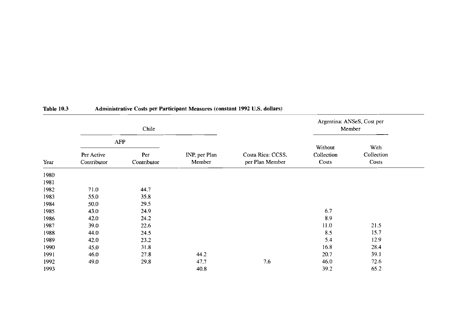|      |                                                                                                                    | Chile |                                                               |     |      | Argentina: ANSeS, Cost per<br>Member |
|------|--------------------------------------------------------------------------------------------------------------------|-------|---------------------------------------------------------------|-----|------|--------------------------------------|
|      |                                                                                                                    | AFP   |                                                               |     |      |                                      |
| Year | Per<br>INP, per Plan<br>Costa Rica: CCSS,<br>Per Active<br>Member<br>per Plan Member<br>Contributor<br>Contributor |       | With<br>Without<br>Collection<br>Collection<br>Costs<br>Costs |     |      |                                      |
| 1980 |                                                                                                                    |       |                                                               |     |      |                                      |
| 1981 |                                                                                                                    |       |                                                               |     |      |                                      |
| 1982 | 71.0                                                                                                               | 44.7  |                                                               |     |      |                                      |
| 1983 | 55.0                                                                                                               | 35.8  |                                                               |     |      |                                      |
| 1984 | 50.0                                                                                                               | 29.5  |                                                               |     |      |                                      |
| 1985 | 43.0                                                                                                               | 24.9  |                                                               |     | 6.7  |                                      |
| 1986 | 42.0                                                                                                               | 24.2  |                                                               |     | 89   |                                      |
| 1987 | 39.0                                                                                                               | 22.6  |                                                               |     | 11.0 | 21.5                                 |
| 1988 | 440                                                                                                                | 24.5  |                                                               |     | 8.5  | 15.7                                 |
| 1989 | 42.0                                                                                                               | 23.2  |                                                               |     | 5.4  | 12.9                                 |
| 1990 | 45.0                                                                                                               | 31.8  |                                                               |     | 16.8 | 28.4                                 |
| 1991 | 46.0                                                                                                               | 27.8  | 44.2                                                          |     | 20.7 | 39.1                                 |
| 1992 | 49.0                                                                                                               | 29.8  | 47.7                                                          | 7.6 | 46.0 | 72.6                                 |
| 1993 |                                                                                                                    |       | 40.8                                                          |     | 39.2 | 65.2                                 |

# **Table 10.3 Administrative Costs per Participant Measures (constant 1992 US. dollars)**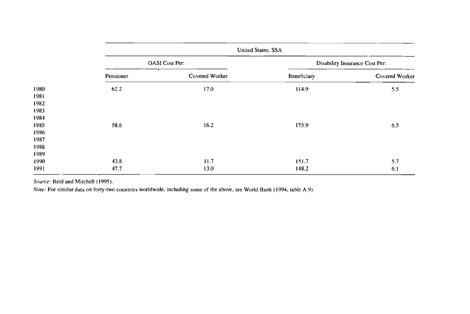|      | United States: SSA |                |             |                                |
|------|--------------------|----------------|-------------|--------------------------------|
|      | OASI Cost Per:     |                |             | Disability Insurance Cost Per: |
|      | Pensioner          | Covered Worker | Beneficiary | Covered Worker                 |
| 1980 | 62.2               | 17.0           | 114.9       | 5.5                            |
| 1981 |                    |                |             |                                |
| 1982 |                    |                |             |                                |
| 1983 |                    |                |             |                                |
| 1984 |                    |                |             |                                |
| 1985 | 58.6               | 16.2           | 175.9       | 6.5                            |
| 1986 |                    |                |             |                                |
| 1987 |                    |                |             |                                |
| 1988 |                    |                |             |                                |
| 1989 |                    |                |             |                                |
| 1990 | 43.8               | 11.7           | 151.7       | 5.7                            |
| 1991 | 47.7               | 13.0           | 148.2       | 6.1                            |

*Source;* Reid and Mitchell (1995).

*Note:* For similar data on forty-two countries worldwide, including some of the above, see World Bank (1994, table A.9).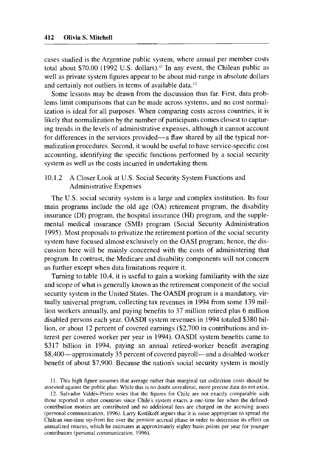cases studied is the Argentine public system, where annual per member costs total about \$70.00 (1992 U.S. dollars)." In any event, the Chilean public as well as private system figures appear to be about mid-range in absolute dollars and certainly not outliers in terms of available data.<sup>12</sup>

Some lessons may be drawn from the discussion thus far. First, data problems limit comparisons that can be made across systems, and no cost normalization is ideal for all purposes. When comparing costs across countries, it is likely that normalization by the number of participants comes closest to capturing trends in the levels of administrative expenses, although it cannot account for differences in the services provided—a flaw shared by all the typical normalization procedures. Second, it would be useful to have service-specific cost accounting, identifying the specific functions performed by a social security system as well as the costs incurred in undertaking them.

10.1.2 A Closer Look at U.S. Social Security System Functions and Administrative Expenses

The U.S. social security system is a large and complex institution. Its four main programs include the old age **(OA)** retirement program, the disability insurance (DI) program, the hospital insurance (HI) program, and the supplemental medical insurance (SMI) program (Social Security Administration 1995). Most proposals to privatize the retirement portion of the social security system have focused almost exclusively on the OASI program; hence, the discussion here will be mainly concerned with the costs of administering that program. In contrast, the Medicare and disability components will not concern us further except when data limitations require it.

Turning to table 10.4, it is useful to gain a working familiarity with the size and scope of what is generally known as the retirement component of the social security system in the United States. The OASDI program is a mandatory, virtually universal program, collecting tax revenues in 1994 from some 139 million workers annually, and paying benefits to 37 million retired plus 6 million disabled persons each year. OASDI system revenues in 1994 totaled \$380 billion, or about 12 percent of covered earnings (\$2,700 in contributions and interest per covered worker per year in 1994). OASDI system benefits came to \$317 billion in 1994, paying an annual retired-worker benefit averaging \$8,400—approximately 35 percent of covered payroll—and a disabled-worker benefit of about \$7,900. Because the nation's social security system is mostly

11. This high figure assumes that average rather than marginal tax collection costs should be assessed against the public plan. While this is no doubt unrealistic, more precise data do not exist.

12. Salvador Valdés-Prieto notes that the figures for Chile are not exactly comparable with those reported in other countries since Chile's system exacts a one-time fee when the definedcontribution monies are contributed and no additional fees are charged on the accruing assets (personal communication, 1996). Larry Kotlikoff argues that it is more appropriate to spread the Chilean one-time up-front fee over the pension accrual phase in order to determine its effect on annualized returns, which he estimates at approximately eighty basis points per year for younger contributors (personal communication, 1996).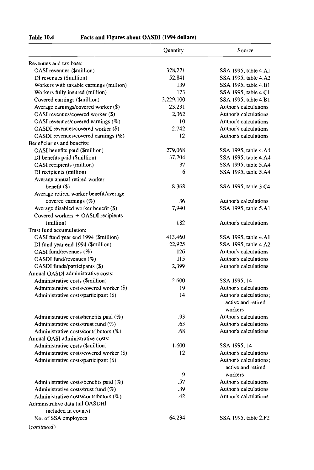# **Table 10.4 Facts and Figures about OASDI (1994 dollars)**

|                                                                                                  | Quantity  | Source                                                  |
|--------------------------------------------------------------------------------------------------|-----------|---------------------------------------------------------|
| Revenues and tax base:                                                                           |           |                                                         |
| <b>OASI</b> revenues (\$million)                                                                 | 328,271   | SSA 1995, table 4.A1                                    |
| DI revenues (\$million)                                                                          | 52,841    | SSA 1995, table 4.A2                                    |
| Workers with taxable earnings (million)                                                          | 139       | SSA 1995, table 4.B1                                    |
| Workers fully insured (million)                                                                  | 173       | SSA 1995, table 4.C1                                    |
| Covered earnings (\$million)                                                                     | 3,229,100 | SSA 1995, table 4.B1                                    |
| Average earnings/covered worker (\$)                                                             | 23,231    | Author's calculations                                   |
| OASI revenues/covered worker (\$)                                                                | 2,362     | Author's calculations                                   |
| OASI revenues/covered earnings (%)                                                               | 10        | Author's calculations                                   |
| OASDI revenues/covered worker (\$)                                                               | 2,742     | Author's calculations                                   |
| OASDI revenues/covered earnings (%)                                                              | 12        | Author's calculations                                   |
| Beneficiaries and benefits:                                                                      |           |                                                         |
| OASI benefits paid (\$million)                                                                   | 279,068   | SSA 1995, table 4.A4                                    |
| DI benefits paid (\$million)                                                                     | 37,704    | SSA 1995, table 4.A4                                    |
| OASI recipients (million)                                                                        | 37        | SSA 1995, table 5.A4                                    |
| DI recipients (million)                                                                          | 6         | SSA 1995, table 5.A4                                    |
| Average annual retired worker                                                                    |           |                                                         |
| benefit (\$)                                                                                     | 8,368     | SSA 1995, table 3.C4                                    |
| Average retired worker benefit/average                                                           |           |                                                         |
| covered earnings (%)                                                                             | 36        | Author's calculations                                   |
| Average disabled worker benefit (\$)                                                             | 7,940     | SSA 1995, table 5.A1                                    |
| Covered workers $+$ OASDI recipients                                                             |           |                                                         |
| (million)                                                                                        | 182       | Author's calculations                                   |
| Trust fund accumulation:                                                                         |           |                                                         |
| OASI fund year end 1994 (\$million)                                                              | 413,460   | SSA 1995, table 4.A1                                    |
| DI fund year end 1994 (\$million)                                                                | 22,925    | SSA 1995, table 4.A2                                    |
| OASI fund/revenues $(\%)$                                                                        | 126       | Author's calculations                                   |
| OASDI fund/revenues (%)                                                                          | 115       | Author's calculations                                   |
| OASDI funds/participants (\$)                                                                    | 2,399     | Author's calculations                                   |
| Annual OASDI administrative costs:                                                               |           |                                                         |
| Administrative costs (\$million)                                                                 | 2,600     | SSA 1995, 14                                            |
| Administrative costs/covered worker (\$)                                                         | 19        | Author's calculations                                   |
| Administrative costs/participant (\$)                                                            | 14        | Author's calculations;<br>active and retired<br>workers |
| Administrative costs/benefits paid (%)                                                           | .93       | Author's calculations                                   |
| Administrative costs/trust fund (%)                                                              | .63       | Author's calculations                                   |
| Administrative costs/contributors $(\%)$                                                         | .68       | Author's calculations                                   |
| Annual OASI administrative costs:                                                                |           |                                                         |
| Administrative costs (\$million)                                                                 | 1,600     | SSA 1995, 14                                            |
| Administrative costs/covered worker (\$)                                                         | 12        | Author's calculations                                   |
| Administrative costs/participant (\$)                                                            |           | Author's calculations:<br>active and retired            |
|                                                                                                  | 9         | workers                                                 |
| Administrative costs/benefits paid (%)                                                           | .57       | Author's calculations                                   |
| Administrative costs/trust fund $(\%)$                                                           | .39       | Author's calculations                                   |
| Administrative costs/contributors (%)<br>Administrative data (all OASDHI<br>included in counts): | .42       | Author's calculations                                   |
| No. of SSA employees                                                                             | 64,234    | SSA 1995, table 2.F2                                    |
| (continued)                                                                                      |           |                                                         |
|                                                                                                  |           |                                                         |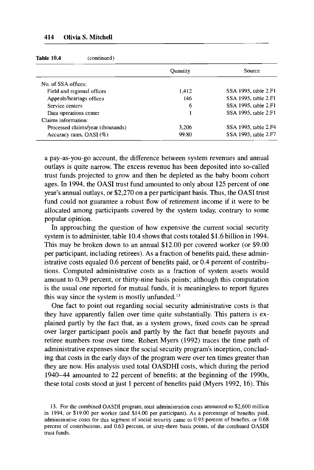| (continued) |
|-------------|
|             |

|                                   | Quantity | Source               |
|-----------------------------------|----------|----------------------|
| No. of SSA offices:               |          |                      |
| Field and regional offices        | 1.412    | SSA 1995, table 2.F1 |
| Appeals/hearings offices          | 146      | SSA 1995, table 2.Fl |
| Service centers                   | 6        | SSA 1995, table 2.F1 |
| Data operations center            |          | SSA 1995, table 2.F1 |
| Claims information:               |          |                      |
| Processed claims/year (thousands) | 3.206    | SSA 1995, table 2.F4 |
| Accuracy rates, OASI (%)          | 99.80    | SSA 1995, table 2.F7 |

a pay-as-you-go account, the difference between system revenues and annual outlays is quite narrow. The excess revenue has been deposited into so-called trust funds projected to grow and then be depleted as the baby boom cohort ages. In 1994, the OASI trust fund amounted to only about 125 percent of one year's annual outlays, or \$2,270 on a per participant basis. Thus, the **OASI** trust fund could not guarantee a robust flow of retirement income if it were to be allocated among participants covered by the system today, contrary to some popular opinion.

In approaching the question of how expensive the current social security system is to administer, table 10.4 shows that costs totaled \$1.6 billion in 1994. This may be broken down to an annual \$12.00 per covered worker (or \$9.00 per participant, including retirees). **As** a fraction of benefits paid, these administrative costs equaled 0.6 percent of benefits paid, or 0.4 percent of contributions. Computed administrative costs as a fraction of system assets would amount to 0.39 percent, or thirty-nine basis points; although this computation is the usual one reported for mutual funds, it is meaningless to report figures this way since the system is mostly unfunded. $13$ 

One fact to point out regarding social security administrative costs is that they have apparently fallen over time quite substantially. This pattern is explained partly by the fact that, as a system grows, fixed costs can be spread over larger participant pools and partly by the fact that benefit payouts and retiree numbers rose over time. Robert Myers (1992) traces the time path of administrative expenses since the social security program's inception, concluding that costs in the early days of the program were over ten times greater than they are now. His analysis used total OASDHI costs, which during the period 1940-44 amounted to 22 percent of benefits; at the beginning of the 1990s, these total costs stood at just 1 percent of benefits paid (Myers 1992, 16). This

<sup>13.</sup> For the combined **OASDI** program, total administration costs amounted to \$2,600 million in 1994, or \$19.00 per **worker** (and \$14.00 per participant). As a percentage of benefits paid, administrative costs for this segment of social security came to 0.93 percent of benefits, or 0.68 percent of contributions, **and** 0.63 percent, or sixty-three basis points, of the combined OASDI trust funds.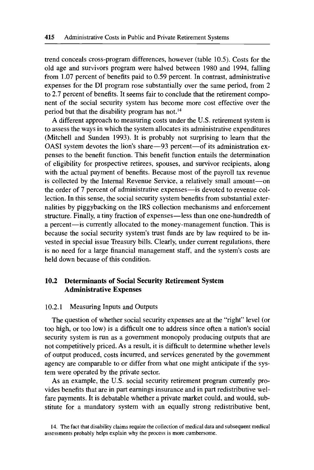trend conceals cross-program differences, however (table 10.5). Costs for the old age and survivors program were halved between 1980 and 1994, falling from 1.07 percent of benefits paid to 0.59 percent. In contrast, administrative expenses for the DI program rose substantially over the same period, from 2 to 2.7 percent of benefits. It seems fair to conclude that the retirement component of the social security system has become more cost effective over the period but that the disability program has not.<sup>14</sup>

A different approach to measuring costs under the U.S. retirement system is to assess the ways in which the system allocates its administrative expenditures (Mitchell and Sunden 1993). It is probably not surprising to learn that the OASI system devotes the lion's share-93 percent-of its administration expenses to the benefit function. This benefit function entails the determination of eligibility for prospective retirees, spouses, and survivor recipients, along with the actual payment of benefits. Because most of the payroll tax revenue is collected by the Internal Revenue Service, a relatively small amount-on the order of 7 percent of administrative expenses—is devoted to revenue collection. In this sense, the social security system benefits from substantial externalities by piggybacking on the IRS collection mechanisms and enforcement structure. Finally, a tiny fraction of expenses—less than one one-hundredth of a percent- is currently allocated to the money-management function. This is because the social security system's trust funds are by law required to be invested in special issue Treasury bills. Clearly, under current regulations, there is no need for a large financial management staff, and the system's costs are held down because of this condition.

# **10.2 Determinants of Social Security Retirement System Administrative Expenses**

#### 10.2.1 Measuring Inputs and Outputs

The question of whether social security expenses are at the "right" level (or too high, or too low) is a difficult one to address since often a nation's social security system is run as a government monopoly producing outputs that are not competitively priced. As a result, it is difficult to determine whether levels of output produced, costs incurred, and services generated by the government agency are comparable to or differ from what one might anticipate if the system were operated by the private sector.

As an example, the **U.S.** social security retirement program currently provides benefits that are in part earnings insurance and in part redistributive welfare payments. It is debatable whether a private market could, and would, substitute for a mandatory system with an equally strong redistributive bent,

**14.** The fact that disability claims require the collection of medical data and subsequent medical assessments probably helps explain why the process **is** more cumbersome.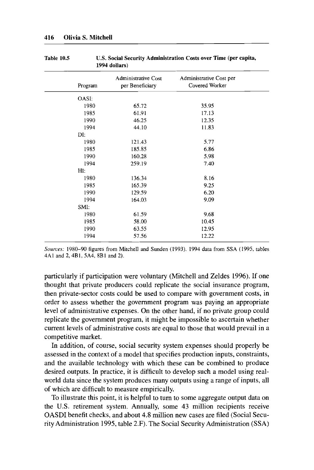|         | <b>Administrative Cost</b> | Administrative Cost per |
|---------|----------------------------|-------------------------|
| Program | per Beneficiary            | Covered Worker          |
| OASI:   |                            |                         |
| 1980    | 65.72                      | 35.95                   |
| 1985    | 61.91                      | 17.13                   |
| 1990    | 46.25                      | 12.35                   |
| 1994    | 44.10                      | 11.83                   |
| DI:     |                            |                         |
| 1980    | 121.43                     | 5.77                    |
| 1985    | 185.85                     | 6.86                    |
| 1990    | 160.28                     | 5.98                    |
| 1994    | 259.19                     | 7.40                    |
| $H1$ :  |                            |                         |
| 1980    | 136.34                     | 8.16                    |
| 1985    | 165.39                     | 9.25                    |
| 1990    | 129.59                     | 6.20                    |
| 1994    | 164.03                     | 9.09                    |
| SMI:    |                            |                         |
| 1980    | 61.59                      | 9.68                    |
| 1985    | 58.00                      | 10.45                   |
| 1990    | 63.55                      | 12.95                   |
| 1994    | 57.56                      | 12.22                   |

#### **Table 10.5 U.S. Social Security Administration Costs over Time (per capita, 1994 dollars)**

*Sources:* 1980-90 figures from Mitchell and Sunden (1993). 1994 data from **SSA** (1995, tables 4A1 and 2,4B **1,** 5A4, 8B I and 2).

particularly if participation were voluntary (Mitchell and Zeldes 1996). If one thought that private producers could replicate the social insurance program, then private-sector costs could be used to compare with government costs, in order to assess whether the government program was paying an appropriate level of administrative expenses. On the other hand, if no private group could replicate the government program, it might be impossible to ascertain whether current levels of administrative costs are equal to those that would prevail in a competitive market.

In addition, of course, social security system expenses should properly be assessed in the context of a model that specifies production inputs, constraints, and the available technology with which these can be combined to produce desired outputs. In practice, it is difficult to develop such a model using realworld data since the system produces many outputs using a range of inputs, all of which are difficult to measure empirically.

To illustrate this point, it is helpful to turn to some aggregate output data on the U.S. retirement system. Annually, some **43** million recipients receive OASDI benefit checks, and about **4.8** million new cases are filed (Social Security Administration 1995, table 2.F). The Social Security Administration (SSA)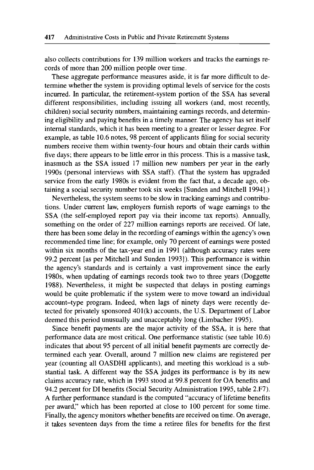also collects contributions for 139 million workers and tracks the earnings records of more than 200 million people over time.

These aggregate performance measures aside, it is far more difficult to determine whether the system is providing optimal levels of service for the costs incurred. In particular, the retirement-system portion of the **SSA** has several different responsibilities, including issuing all workers (and, most recently, children) social security numbers, maintaining earnings records, and determining eligibility and paying benefits in a timely manner. The agency has set itself internal standards, which it has been meeting to a greater or lesser degree. For example, as table 10.6 notes, 98 percent of applicants filing for social security numbers receive them within twenty-four hours and obtain their cards within five days; there appears to be little error in this process. This is a massive task, inasmuch as the SSA issued 17 million new numbers per year in the early 1990s (personal interviews with **SSA** staff). (That the system has upgraded service from the early 1980s is evident from the fact that, a decade ago, obtaining a social security number took six weeks [Sunden and Mitchell 19941.)

Nevertheless, the system seems to be slow in tracking earnings and contributions. Under current law, employers furnish reports of wage earnings to the **SSA** (the self-employed report pay via their income tax reports). Annually, something on the order of 227 million earnings reports are received. Of late, there has been some delay in the recording of earnings within the agency's own recommended time line; for example, only 70 percent of earnings were posted within six months of the tax-year end in 1991 (although accuracy rates were 99.2 percent [as per Mitchell and Sunden 19931). This performance is within the agency's standards and is certainly a vast improvement since the early 1980s, when updating of earnings records took two to three years (Doggette 1988). Nevertheless, it might be suspected that delays in posting earnings would be quite problematic if the system were to move toward an individual account-type program. Indeed, when lags of ninety days were recently detected for privately sponsored 401(k) accounts, the **U.S.** Department of Labor deemed this period unusually and unacceptably long (Limbacher 1995).

Since benefit payments are the major activity of the **SSA,** it is here that performance data are most critical. One performance statistic (see table 10.6) indicates that about 95 percent of all initial benefit payments are correctly determined each year. Overall, around 7 million new claims are registered per year (counting all OASDHI applicants), and meeting this workload is a substantial task. **A** different way the SSA judges its performance is by its new claims accuracy rate, which in 1993 stood at 99.8 percent for **OA** benefits and 94.2 percent for DI benefits (Social Security Administration 1995, table 2.F7). **A** further performance standard is the computed "accuracy of lifetime benefits per award," which has been reported at close to 100 percent for some time. Finally, the agency monitors whether benefits are received on time. On average, it takes seventeen days from the time a retiree files for benefits for the first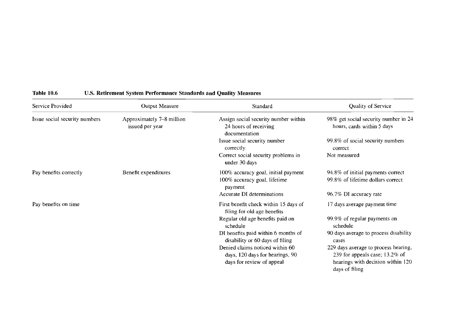| Service Provided              | <b>Output Measure</b>                        | Standard                                                                                        | Quality of Service                                                                                                            |
|-------------------------------|----------------------------------------------|-------------------------------------------------------------------------------------------------|-------------------------------------------------------------------------------------------------------------------------------|
| Issue social security numbers | Approximately 7–8 million<br>issued per year | Assign social security number within<br>24 hours of receiving<br>documentation                  | 98% get social security number in 24<br>hours, cards within 5 days                                                            |
|                               |                                              | Issue social security number<br>correctly                                                       | 99.8% of social security numbers<br>correct                                                                                   |
|                               |                                              | Correct social security problems in<br>under 30 days                                            | Not measured                                                                                                                  |
| Pay benefits correctly        | Benefit expenditures                         | 100% accuracy goal, initial payment<br>100% accuracy goal, lifetime<br>payment                  | 94.8% of initial payments correct<br>99.8% of lifetime dollars correct                                                        |
|                               |                                              | Accurate DI determinations                                                                      | 96.7% DI accuracy rate                                                                                                        |
| Pay benefits on time          |                                              | First benefit check within 15 days of<br>filing for old age benefits                            | 17 days average payment time                                                                                                  |
|                               |                                              | Regular old age benefits paid on<br>schedule                                                    | 99.9% of regular payments on<br>schedule                                                                                      |
|                               |                                              | DI benefits paid within 6 months of<br>disability or 60 days of filing                          | 90 days average to process disability<br>cases                                                                                |
|                               |                                              | Denied claims noticed within 60<br>days, 120 days for hearings, 90<br>days for review of appeal | 229 days average to process hearing,<br>239 for appeals case; 13.2% of<br>hearings with decision within 120<br>days of filing |

# **Table 10.6 U.S. Retirement System Performance Standards and Quality Measures**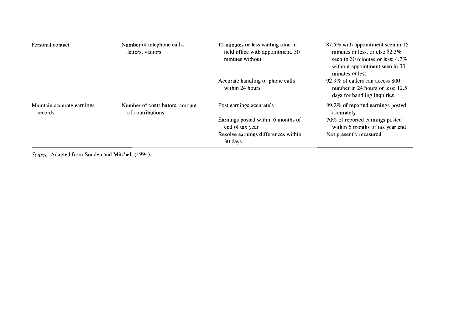| Personal contact                      | Number of telephone calls,<br>letters, visitors    | 15 minutes or less waiting time in<br>field office with appointment, 30<br>minutes without | 87.5% with appointment seen in 15<br>minutes or less, or else 82.3%<br>seen in 30 minutes or less; $4.7\%$<br>without appointment seen in 30<br>minutes or less |
|---------------------------------------|----------------------------------------------------|--------------------------------------------------------------------------------------------|-----------------------------------------------------------------------------------------------------------------------------------------------------------------|
|                                       |                                                    | Accurate handling of phone calls<br>within 24 hours                                        | 92.9% of callers can access 800<br>number in 24 hours or less: 12.5<br>days for handling inquiries                                                              |
| Maintain accurate earnings<br>records | Number of contributors, amount<br>of contributions | Post earnings accurately                                                                   | 99.2% of reported earnings posted<br>accurately                                                                                                                 |
|                                       |                                                    | Earnings posted within 6 months of<br>end of tax year                                      | 70% of reported earnings posted<br>within 6 months of tax year end                                                                                              |
|                                       |                                                    | Resolve earnings differences within<br>30 days                                             | Not presently measured                                                                                                                                          |

*Source:* Adapted from Sunden and Mitchell (1994)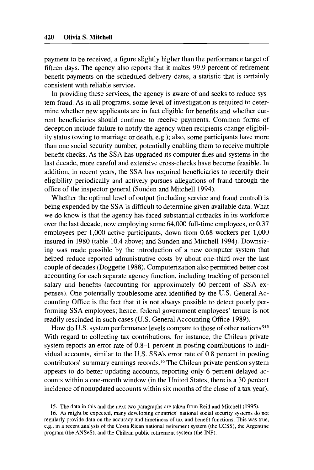payment to be received, a figure slightly higher than the performance target of fifteen days. The agency also reports that it makes 99.9 percent of retirement benefit payments on the scheduled delivery dates, a statistic that is certainly consistent with reliable service.

In providing these services, the agency is aware of and seeks to reduce system fraud. As in all programs, some level of investigation is required to determine whether new applicants are in fact eligible for benefits and whether current beneficiaries should continue to receive payments. Common forms of deception include failure to notify the agency when recipients change eligibility status (owing to marriage or death, e.g.); also, some participants have more than one social security number, potentially enabling them to receive multiple benefit checks. As the SSA has upgraded its computer files and systems in the last decade, more careful and extensive cross-checks have become feasible. In addition, in recent years, the SSA has required beneficiaries to recertify their eligibility periodically and actively pursues allegations of fraud through the office of the inspector general (Sunden and Mitchell 1994).

Whether the optimal level of output (including service and fraud control) is being expended by the SSA is difficult to determine given available data. What we do know is that the agency has faced substantial cutbacks in its workforce over the last decade, now employing some 64,000 full-time employees, **or** 0.37 employees per 1,000 active participants, down from 0.68 workers per 1,000 insured in 1980 (table 10.4 above; and Sunden and Mitchell 1994). Downsizing was made possible by the introduction of a new computer system that helped reduce reported administrative costs by about one-third over the last couple of decades (Doggette 1988). Computerization also permitted better cost accounting for each separate agency function, including tracking of personnel salary and benefits (accounting for approximately 60 percent of SSA expenses). One potentially troublesome area identified by the U.S. General Accounting Office is the fact that it is not always possible to detect poorly performing SSA employees; hence, federal government employees' tenure is not readily rescinded in such cases (U.S. General Accounting Office 1989).

How do U.S. system performance levels compare to those of other nations?<sup>15</sup> With regard to collecting tax contributions, for instance, the Chilean private system reports an error rate of 0.8-1 percent in posting contributions to individual accounts, similar to the U.S. SSA's error rate of 0.8 percent in posting contributors' summary earnings records. **l6** The Chilean private pension system appears to do better updating accounts, reporting only 6 percent delayed accounts within a one-month window (in the United States, there is a 30 percent incidence of nonupdated accounts within six months of the close of a tax year).

<sup>15.</sup> The data in this and the next two paragraphs are taken from Reid and Mitchell (1995).

<sup>16.</sup> **As** might be expected, many developing countries' national social security systems do not regularly provide data on the accuracy and timeliness of tax and benefit functions. This was true, e.g., in a recent analysis of the Costa Rican national retirement system (the CCSS), the Argentine program (the ANSeS), and the Chilean public retirement system (the INP).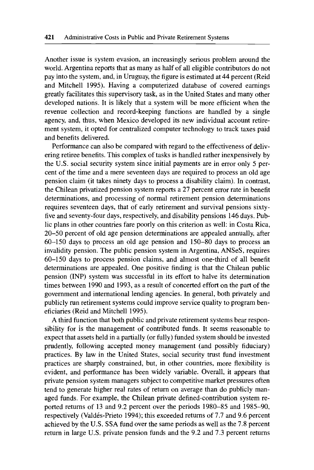Another issue is system evasion, an increasingly serious problem around the world. Argentina reports that as many as half of all eligible contributors do not pay into the system, and, in Uruguay, the figure is estimated at 44 percent (Reid and Mitchell 1995). Having a computerized database of covered earnings greatly facilitates this supervisory task, as in the United States and many other developed nations. It is likely that a system will be more efficient when the revenue collection and record-keeping functions are handled by a single agency, and, thus, when Mexico developed its new individual account retirement system, it opted for centralized computer technology to track taxes paid and benefits delivered.

Performance can also be compared with regard to the effectiveness of delivering retiree benefits. This complex of tasks is handled rather inexpensively by the U.S. social security system since initial payments are in error only 5 percent of the time and a mere seventeen days are required to process an old age pension claim (it takes ninety days to process a disability claim). In contrast, the Chilean privatized pension system reports a 27 percent error rate in benefit determinations, and processing of normal retirement pension determinations requires seventeen days, that of early retirement and survival pensions sixtyfive and seventy-four days, respectively, and disability pensions 146 days. Public plans in other countries fare poorly on this criterion as well: in Costa Rica, 20-50 percent of old age pension determinations are appealed annually, after 60-150 days to process an old age pension and 150-80 days to process an invalidity pension. The public pension system in Argentina, ANSeS, requires 60-150 days to process pension claims, and almost one-third of all benefit determinations are appealed. One positive finding is that the Chilean public pension (INP) system was successful in its effort to halve its determination times between 1990 and 1993, as a result of concerted effort on the part of the government and international lending agencies. In general, both privately and publicly run retirement systems could improve service quality to program beneficiaries (Reid and Mitchell 1995).

**A** third function that both public and private retirement systems bear responsibility for is the management of contributed funds. It seems reasonable to expect that assets held in a partially (or fully) funded system should be invested prudently, following accepted money management (and possibly fiduciary) practices. By law in the United States, social security trust fund investment practices are sharply constrained, but, in other countries, more flexibility is evident, and performance has been widely variable. Overall, it appears that private pension system managers subject to competitive market pressures often tend to generate higher real rates of return on average than do publicly managed funds. For example, the Chilean private defined-contribution system reported returns of 13 and 9.2 percent over the periods 1980-85 and 1985-90, respectively (Valdés-Prieto 1994); this exceeded returns of 7.7 and 9.6 percent achieved by the U.S. SSA fund over the same periods as well as the 7.8 percent return in large U.S. private pension funds and the 9.2 and 7.3 percent returns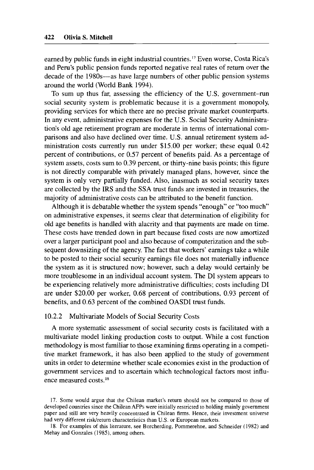earned by public funds in eight industrial countries.<sup>17</sup> Even worse, Costa Rica's and Peru's public pension funds reported negative real rates of return over the decade of the 1980s—as have large numbers of other public pension systems around the world (World Bank 1994).

To sum up thus far, assessing the efficiency of the U.S. government-run social security system is problematic because it is a government monopoly, providing services for which there are no precise private market counterparts. In any event, administrative expenses for the U.S. Social Security Administration's old age retirement program are moderate in terms of international comparisons and also have declined over time. U.S. annual retirement system administration costs currently run under \$15.00 per worker; these equal 0.42 percent of contributions, or 0.57 percent of benefits paid. As a percentage of system assets, costs sum to 0.39 percent, or thirty-nine basis points; this figure is not directly comparable with privately managed plans, however, since the system is only very partially funded. Also, inasmuch as social security taxes are collected by the IRS and the SSA trust funds are invested in treasuries, the majority of administrative costs can be attributed to the benefit function.

Although it is debatable whether the system spends "enough' or "too much" on administrative expenses, it seems clear that determination of eligibility for old age benefits is handled with alacrity and that payments are made on time. These costs have trended down in part because fixed costs are now amortized over a larger participant pool and also because of computerization and the subsequent downsizing of the agency. The fact that workers' earnings take a while to be posted to their social security earnings file does not materially influence the system as it is structured now; however, such a delay would certainly be more troublesome in an individual account system. The DI system appears to be experiencing relatively more administrative difficulties; costs including DI are under \$20.00 per worker, 0.68 percent of contributions, 0.93 percent of benefits, and 0.63 percent of the combined OASDI trust funds.

#### 10.2.2 Multivariate Models of Social Security Costs

**A** more systematic assessment of social security costs is facilitated with a multivariate model linking production costs to output. While a cost function methodology is most familiar to those examining firms operating in a competitive market framework, it has also been applied to the study of government units in order to determine whether scale economies exist in the production of government services and to ascertain which technological factors most influence measured costs.<sup>18</sup>

**<sup>17.</sup>** Some would argue that the Chilean market's return should not be compared to those of developed countries since the Chilean **AFPs** were initially restricted *to* holding mainly government paper and still are very heavily concentrated in Chilean firms. Hence, their investment universe had very different risk/return characteristics than U.S. or European markets.

<sup>18.</sup> For examples **of** this literature, see Borcherding, Pommerehne, and Schneider (1982) and Mehay and Gonzales (1985). among others.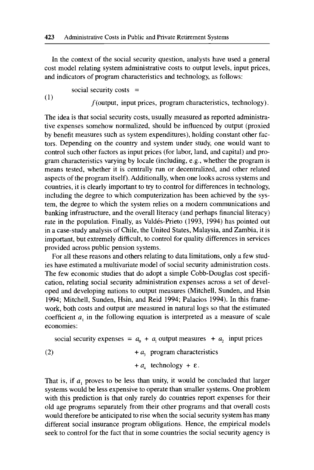In the context of the social security question, analysts have used a general cost model relating system administrative costs to output levels, input prices, and indicators of program characteristics and technology, as follows:

$$
social security costs =
$$

(1)  $f$ (output, input prices, program characteristics, technology).

The idea is that social security costs, usually measured as reported administrative expenses somehow normalized, should be influenced by output (proxied by benefit measures such as system expenditures), holding constant other factors. Depending on the country and system under study, one would want to control such other factors as input prices (for labor, land, and capital) and program characteristics varying by locale (including, e.g., whether the program is means tested, whether it is centrally run or decentralized, and other related aspects of the program itself). Additionally, when one looks across systems and countries, it is clearly important to try to control for differences in technology, including the degree to which computerization has been achieved by the system, the degree to which the system relies on a modern communications and banking infrastructure, and the overall literacy (and perhaps financial literacy) rate in the population. Finally, as Valdés-Prieto (1993, 1994) has pointed out in a case-study analysis of Chile, the United States, Malaysia, and Zambia, it is important, but extremely difficult, to control for quality differences in services provided across public pension systems.

For all these reasons and others relating to data limitations, only a few studies have estimated a multivariate model of social security administration costs. The few economic studies that do adopt a simple Cobb-Douglas cost specification, relating social security administration expenses across a set of developed and developing nations to output measures (Mitchell, Sunden, and Hsin 1994; Mitchell, Sunden, Hsin, and Reid 1994; Palacios 1994). In this framework, both costs and output are measured in natural logs so that the estimated coefficient  $a_1$  in the following equation is interpreted as a measure of scale economies:

social security expenses =  $a_0 + a_1$  output measures +  $a_2$  input prices  $+ a_1$  program characteristics +  $a_4$  **technology** +  $\varepsilon$ .

That is, if *a,* proves to be less than unity, it would be concluded that larger systems would be less expensive to operate than smaller systems. One problem with this prediction is that only rarely do countries report expenses for their old age programs separately from their other programs and that overall costs would therefore be anticipated to rise when the social security system has many different social insurance program obligations. Hence, the empirical models seek to control for the fact that in some countries the social security agency is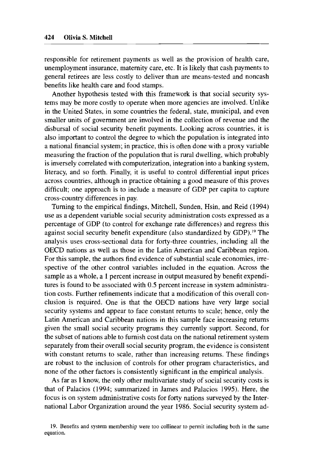responsible for retirement payments as well as the provision of health care, unemployment insurance, maternity care, etc. It is likely that cash payments to general retirees are less costly to deliver than are means-tested and noncash benefits like health care and food stamps.

Another hypothesis tested with this framework is that social security systems may be more costly to operate when more agencies are involved. Unlike in the United States, in some countries the federal, state, municipal, and even smaller units of government are involved in the collection of revenue and the disbursal of social security benefit payments. Looking across countries, it is also important to control the degree to which the population is integrated into a national financial system; in practice, this is often done with a proxy variable measuring the fraction of the population that is rural dwelling, which probably is inversely correlated with computerization, integration into a banking system, literacy, and so forth. Finally, it is useful to control differential input prices across countries, although in practice obtaining a good measure of this proves difficult; one approach is to include a measure of GDP per capita to capture cross-country differences in pay.

Turning to the empirical findings, Mitchell, Sunden, Hsin, and Reid ( 1994) use as a dependent variable social security administration costs expressed as a percentage of GDP (to control for exchange rate differences) and regress this against social security benefit expenditure (also standardized by GDP).<sup>19</sup> The analysis uses cross-sectional data for forty-three countries, including all the OECD nations as well as those in the Latin American and Caribbean region. For this sample, the authors find evidence of substantial scale economies, irrespective of the other control variables included in the equation. Across the sample as a whole, a **1** percent increase in output measured by benefit expenditures is found to be associated with 0.5 percent increase in system administration costs. Further refinements indicate that a modification of this overall conclusion is required. One is that the OECD nations have very large social security systems and appear to face constant returns to scale; hence, only the Latin American and Caribbean nations in this sample face increasing returns given the small social security programs they currently support. Second, for the subset of nations able to furnish cost data on the national retirement system separately from their overall social security program, the evidence is consistent with constant returns to scale, rather than increasing returns. These findings are robust to the inclusion of controls for other program characteristics, and none of the other factors is consistently significant in the empirical analysis.

**As** far as I know, the only other multivariate study of social security costs is that of Palacios (1994; summarized in James and Palacios 1995). Here, the focus is on system administrative costs for forty nations surveyed by the International Labor Organization around the year **1986.** Social security system ad-

<sup>19.</sup> Benefits and system membership **were** too collinear to permit including both in **the** same equation.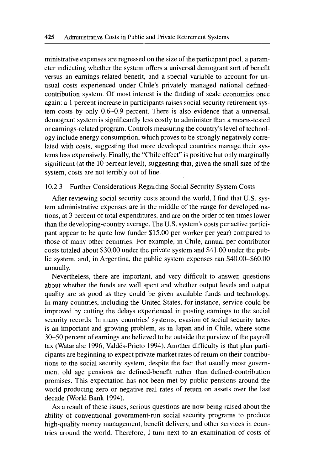ministrative expenses are regressed on the size of the participant pool, a parameter indicating whether the system offers a universal demogrant sort of benefit versus an earnings-related benefit, and a special variable to account for unusual costs experienced under Chile's privately managed national definedcontribution system. Of most interest is the finding of scale economies once again: a 1 percent increase in participants raises social security retirement system costs by only 0.6-0.9 percent. There is also evidence that **a** universal, demogrant system is significantly less costly to administer than a means-tested or earnings-related program. Controls measuring the country's level of technology include energy consumption, which proves to be strongly negatively correlated with costs, suggesting that more developed countries manage their systems less expensively. Finally, the "Chile effect" is positive but only marginally significant (at the 10 percent level), suggesting that, given the small size of the system, costs are not terribly out of line.

# 10.2.3 Further Considerations Regarding Social Security System Costs

After reviewing social security costs around the world, **I** find that U.S. system administrative expenses are in the middle of the range for developed nations, at 3 percent of total expenditures, and are on the order of ten times lower than the developing-country average. The U.S. system's costs per active participant appear to be quite low (under \$15.00 per worker per year) compared to those of many other countries. For example, in Chile, annual per contributor costs totaled about \$30.00 under the private system and \$41 .00 under the public system, and, in Argentina, the public system expenses ran \$40.00-\$60.00 annually.

Nevertheless, there are important, and very difficult to answer, questions about whether the funds are well spent and whether output levels and output quality are as good as they could be given available funds and technology. In many countries, including the United States, for instance, service could be improved by cutting the delays experienced in posting earnings to the social security records. In many countries' systems, evasion of social security taxes is an important and growing problem, as in Japan and in Chile, where some 30-50 percent of earnings are believed to be outside the purview of the payroll tax (Watanabe 1996; Valdés-Prieto 1994). Another difficulty is that plan participants are beginning to expect private market rates of return on their contributions to the social security system, despite the fact that usually most government old age pensions are defined-benefit rather than defined-contribution promises. This expectation has not been met by public pensions around the world producing zero or negative real rates of return on assets over the last decade (World Bank 1994).

As a result of these issues, serious questions are now being raised about the ability of conventional government-run social security programs to produce high-quality money management, benefit delivery, and other services in countries around the world. Therefore, I turn next to an examination of costs of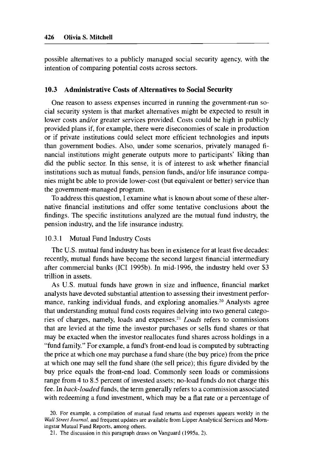possible alternatives to a publicly managed social security agency, with the intention of comparing potential costs across sectors.

# **10.3 Administrative Costs of Alternatives to Social Security**

One reason to assess expenses incurred in running the government-run social security system is that market alternatives might be expected to result in lower costs and/or greater services provided. Costs could be high in publicly provided plans if, for example, there were diseconomies of scale in production or if private institutions could select more efficient technologies and inputs than government bodies. Also, under some scenarios, privately managed financial institutions might generate outputs more to participants' liking than did the public sector. In this sense, it is of interest to ask whether financial institutions such as mutual funds, pension funds, and/or life insurance companies might be able to provide lower-cost (but equivalent or better) service than the government-managed program.

To address this question, I examine what is known about some of these alternative financial institutions and offer some tentative conclusions about the findings. The specific institutions analyzed are the mutual fund industry, the pension industry, and the life insurance industry.

# 10.3.1 Mutual Fund Industry Costs

The **U.S.** mutual fund industry has been in existence for at least five decades: recently, mutual funds have become the second largest financial intermediary after commercial banks (ICI 1995b). In mid-1996, the industry held over \$3 trillion in assets.

As **U.S.** mutual funds have grown in size and influence, financial market analysts have devoted substantial attention to assessing their investment performance, ranking individual funds, and exploring anomalies.<sup>20</sup> Analysts agree that understanding mutual fund costs requires delving into two general categories of charges, namely, loads and expenses.2' *Loads* refers to commissions that are levied at the time the investor purchases or sells fund shares or that may be exacted when the investor reallocates fund shares across holdings in a "fund family." For example, a fund's front-end load is computed by subtracting the price at which one may purchase a fund share (the buy price) from the price at which one may sell the fund share (the sell price); this figure divided by the buy price equals the front-end load. Commonly seen loads or commissions range from 4 to 8.5 percent of invested assets; no-load funds do not charge this fee. In *back-loaded* funds, the term generally refers to a commission associated with redeeming a fund investment, which may be a flat rate or a percentage of

<sup>20.</sup> For example, a compilation of mutual fund returns and expenses appears weekly in the *Wall Street Journal,* and frequent updates are available from Lipper Analytical Services and Momingstar Mutual Fund Reports, among others.

<sup>21.</sup> The discussion in this paragraph draws on Vanguard (1995a, 2).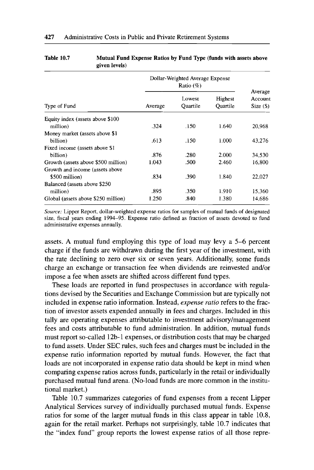| <b>PIVELL LEVELS!</b>               |                                                 |                    |                     |                    |
|-------------------------------------|-------------------------------------------------|--------------------|---------------------|--------------------|
|                                     | Dollar-Weighted Average Expense<br>Ratio $(\%)$ |                    |                     | Average            |
| Type of Fund                        | Average                                         | Lowest<br>Quartile | Highest<br>Quartile | Account<br>Size(5) |
| Equity index (assets above \$100    |                                                 |                    |                     |                    |
| million)                            | .324                                            | .150               | 1.640               | 20,968             |
| Money market (assets above \$1      |                                                 |                    |                     |                    |
| billion)                            | .613                                            | .150               | 1.000               | 43,276             |
| Fixed income (assets above \$1      |                                                 |                    |                     |                    |
| billion)                            | .876                                            | .280               | 2.000               | 34,530             |
| Growth (assets above \$500 million) | 1.043                                           | .500               | 2.460               | 16,800             |
| Growth and income (assets above     |                                                 |                    |                     |                    |
| \$500 million)                      | .834                                            | .390               | 1.840               | 22,027             |
| Balanced (assets above \$250)       |                                                 |                    |                     |                    |
| million)                            | .895                                            | .350               | 1.910               | 15,360             |
| Global (assets above \$250 million) | 1.250                                           | .840               | 1.380               | 14,686             |

**Table 10.7 Mutual Fund Expense Ratios by Fund Type (funds with assets above** 

# **427** Administrative Costs in Public and Private Retirement Systems

**given levels)** 

*Source:* Lipper Report, dollar-weighted expense ratios for samples of mutual funds of designated size, fiscal years ending 1994-95. Expense ratio defined as fraction of assets devoted to fund administrative expenses annually.

assets. A mutual fund employing this type of load may levy a 5-6 percent charge if the funds are withdrawn during the first year of the investment, with the rate declining to zero over six or seven years. Additionally, some funds charge an exchange or transaction fee when dividends are reinvested and/or impose a fee when assets are shifted across different fund types.

These loads are reported in fund prospectuses in accordance with regulations devised by the Securities and Exchange Commission but are typically not included in expense ratio information. Instead, *expense ratio* refers to the fraction of investor assets expended annually in fees and charges. Included in this tally are operating expenses attributable to investment advisory/management fees and costs attributable to fund administration. In addition, mutual funds must report so-called 12b-1 expenses, or distribution costs that may be charged to fund assets. Under SEC rules, such fees and charges must be included in the expense ratio information reported by mutual funds. However, the fact that loads are not incorporated in expense ratio data should be kept in mind when comparing expense ratios across funds, particularly in the retail or individually purchased mutual fund arena. (No-load funds are more common in the institutional market.)

Table 10.7 summarizes categories of fund expenses from a recent Lipper Analytical Services survey of individually purchased mutual funds. Expense ratios **for** some of the larger mutual funds in this class appear in table 10.8, again for the retail market. Perhaps not surprisingly, table 10.7 indicates that the "index fund" group reports the lowest expense ratios of all those repre-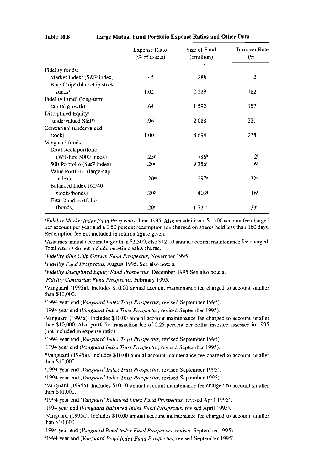| Expense Ratio<br>(% of assets) | Size of Fund<br>(\$million) | Turnover Rate<br>$( \% )$ |
|--------------------------------|-----------------------------|---------------------------|
|                                |                             |                           |
| .45                            | 288                         | 2                         |
|                                |                             |                           |
| 1.02                           | 2,229                       | 182                       |
|                                |                             |                           |
| .64                            | 1,592                       | 157                       |
|                                |                             |                           |
| .96                            | 2,088                       | 221                       |
|                                |                             |                           |
| 1.00                           | 8,694                       | 235                       |
|                                |                             |                           |
|                                |                             |                           |
| .25 <sup>g</sup>               | 786 <sup>h</sup>            | $2^i$                     |
| $20^{\circ}$                   | $9,356*$                    | 6 <sup>t</sup>            |
|                                |                             |                           |
| .20 <sup>m</sup>               | 297 <sup>n</sup>            | $32^\circ$                |
|                                |                             |                           |
| .20 <sup>o</sup>               | 4039                        | 16 <sup>r</sup>           |
|                                |                             |                           |
| .20 <sup>s</sup>               | 1,731                       | $33^{\circ}$              |
|                                |                             |                           |

*\*Fidelity Market Index Fund Prospectus,* June 1995. Also an additional \$10.00 account fee charged per account per year and a 0.50 percent redemption fee charged on shares held less than 180 days. Redemption fee not included in returns figure given.

bAssumes annual account larger than \$2,500, else \$12.00 annual account maintenance fee charged. Total returns do not include one-time sales charge.

*'Fidelity Blue Chip Growth Fund Prospectus,* November 1995.

*dFidelity Fund Prospectus,* August 1995. See also note a.

*'Fidelity Disciplined Equity Fund Prospectus,* December 1995 See also note a.

*'Fideliry Contrarian Fund Prospectus,* February 1995.

'Vanguard (1995a). Includes \$10.00 annual account maintenance fee charged to account smaller than \$10,000.

1994 year end *(Vanguard Index Trust Prospectus,* revised September 1995).

' 1994 year end *(Vanguard Index Trust Prospectus,* revised September 1995).

'Vanguard (1995a). Includes \$10.00 annual account maintenance fee charged to account smaller than \$10,000. Also portfolio transaction fee of 0.25 percent per dollar invested assessed in 1995 (not included in expense ratio).

" 1994 year end *(Vanguard Index Trust Prospectus,* revised September 1995).

' 1994 year end *(Vanguard Index Trust Prospectus,* revised September 1995).

'"Vanguard (1995a). Includes \$10.00 annual account maintenance fee charged to account smaller than \$1O,O00.

1994 year end *(Vanguard Index Trust Prospectus,* revised September 1995).

"1994 year end *(Vanguard Index Trust Prospectus,* revised September 1995).

'Vanguard (1995a). Includes \$10.00 annual account maintenance fee charged to account smaller than \$lO,oOO.

q1994 year end *(Vanguard Balanced Index Fund Prospectus,* revised April 1995).

'1994 year end *(Vanguard Balanced Index Fund Prospectus,* revised April 1995).

'Vanguard (1995a). Includes \$10.00 annual account maintenance fee charged to account smaller than \$1O,O00.

'1994 year end *(Vanguard Bond Index Fund Prospectus,* revised September 1995).

1994 year end *(Vanguard Bond Index Fund Prospectus,* revised September 1995).

#### **Table 10.8 Large Mutual Fund Portfolio Expense Ratios and Other Data**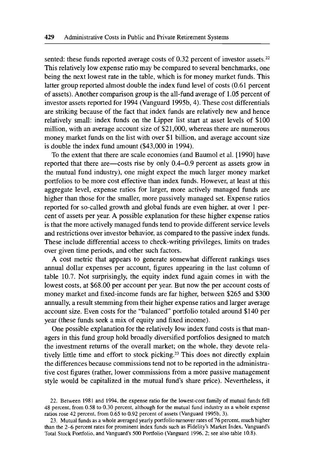sented: these funds reported average costs of  $0.32$  percent of investor assets.<sup>22</sup> This relatively low expense ratio may be compared to several benchmarks, one being the next lowest rate in the table, which is for money market funds. This latter group reported almost double the index fund level of costs (0.61 percent of assets). Another comparison group is the all-fund average of 1.05 percent of investor assets reported for 1994 (Vanguard 1995b, 4). These cost differentials are striking because of the fact that index funds are relatively new and hence relatively small: index funds on the Lipper list start at asset levels of \$100 million, with an average account size of \$21,000, whereas there are numerous money market funds on the list with over \$1 billion, and average account size is double the index fund amount (\$43,000 in 1994).

To the extent that there are scale economies (and Baumol et al. [1990] have reported that there are—costs rise by only 0.4–0.9 percent as assets grow in the mutual fund industry), one might expect the much larger money market portfolios to be more cost effective than index funds. However, at least at this aggregate level, expense ratios for larger, more actively managed funds are higher than those for the smaller, more passively managed set. Expense ratios reported for so-called growth and global funds are even higher, at over 1 percent of assets per year. A possible explanation for these higher expense ratios is that the more actively managed funds tend to provide different service levels and restrictions over investor behavior, as compared to the passive index funds. These include differential access to check-writing privileges, limits on trades over given time periods, and other such factors.

A cost metric that appears to generate somewhat different rankings uses annual dollar expenses per account, figures appearing in the last column of table 10.7. Not surprisingly, the equity index fund again comes in with the lowest costs, at \$68.00 per account per year. But now the per account costs of money market and fixed-income funds are far higher, between \$265 and \$300 annually, a result stemming from their higher expense ratios and larger average account size. Even costs for the "balanced" portfolio totaled around \$140 per year (these funds seek a mix of equity and fixed income).

One possible explanation for the relatively low index fund costs is that managers in this fund group hold broadly diversified portfolios designed to match the investment returns of the overall market; on the whole, they devote relatively little time and effort to stock picking.<sup>23</sup> This does not directly explain the differences because commissions tend not to be reported in the administrative cost figures (rather, lower commissions from a more passive management style would be capitalized in the mutual fund's share price). Nevertheless, it

<sup>22.</sup> Between 1981 and 1994, the expense ratio for the lowest-cost family of mutual funds fell 48 percent, from 0.58 to 0.30 percent, although for the mutual fund industry as a whole expense ratios rose 42 percent, from 0.65 to 0.92 percent of assets (Vanguard 1995b, **3).** 

<sup>23.</sup> Mutual funds as a whole averaged yearly portfolio turnover rates of **76** percent, much higher than the **2-6** percent rates for prominent index funds such as Fidelity's Market Index, Vanguard's Total Stock Portfolio, and Vanguard's 500 Portfolio (Vanguard 1996, 2; see also table 10.8).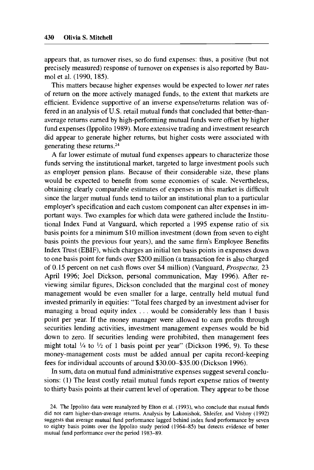appears that, as turnover rises, so do fund expenses: thus, a positive (but not precisely measured) response of turnover on expenses is also reported by Baumol et al. (1990, 185).

This matters because higher expenses would be expected to lower *ner* rates of return on the more actively managed funds, to the extent that markets are efficient. Evidence supportive of an inverse expense/returns relation was offered in an analysis of **U.S.** retail mutual funds that concluded that better-thanaverage returns earned by high-performing mutual funds were offset by higher fund expenses (Ippolito 1989). More extensive trading and investment research did appear to generate higher returns, but higher costs were associated with generating these returns. $24$ 

**A** far lower estimate of mutual fund expenses appears to characterize those funds serving the institutional market, targeted to large investment pools such as employer pension plans. Because of their considerable size, these plans would be expected to benefit from some economies of scale. Nevertheless, obtaining clearly comparable estimates of expenses in this market is difficult since the larger mutual funds tend to tailor an institutional plan to a particular employer's specification and each custom component can alter expenses in important ways. Two examples for which data were gathered include the Institutional Index Fund at Vanguard, which reported a 1995 expense ratio of six basis points for a minimum \$10 million investment (down from seven to eight basis points the previous four years), and the same firm's Employee Benefits Index Trust (EBIF), which charges an initial ten basis points in expenses down to one basis point for funds over \$200 million (a transaction fee is also charged of 0.15 percent on net cash flows over \$4 million) (Vanguard, *Prospectus,* 23 April 1996; Joel Dickson, personal communication, May 1996). After reviewing similar figures, Dickson concluded that the marginal cost of money management would be even smaller for a large, centrally held mutual fund invested primarily in equities: "Total fees charged by an investment adviser for managing a broad equity index . . . would be considerably less than 1 basis point per year. If the money manager were allowed to earn profits through securities lending activities, investment management expenses would be bid down to zero. If securities lending were prohibited, then management fees might total  $\frac{1}{4}$  to  $\frac{1}{2}$  of 1 basis point per year" (Dickson 1996, 9). To these money-management costs must be added annual per capita record-keeping fees for individual accounts of around \$30.00-\$35.00 (Dickson 1996).

In sum, data on mutual fund administrative expenses suggest several conclusions: (1) The least costly retail mutual funds report expense ratios of twenty to thirty basis points at their current level of operation. They appear to be those

<sup>24.</sup> The Ippolito data were reanalyzed by Elton et al. (1993). who conclude that mutual funds did not earn higher-than-average returns. Analysis by Lakonishok, Shleifer, and Vishny (1992) suggests that average mutual fund performance lagged behind index fund performance by seven to eighty basis points over the Ippolito study period (1964-85) but detects evidence **of** better mutual fund performance over the period 1983-89.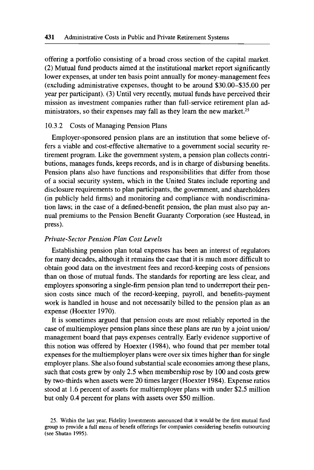offering a portfolio consisting of a broad cross section of the capital market. **(2)** Mutual fund products aimed at the institutional market report significantly lower expenses, at under ten basis point annually for money-management fees (excluding administrative expenses, thought to be around **\$30.00-\$35.00** per year per participant). **(3)** Until very recently, mutual funds have perceived their mission as investment companies rather than full-service retirement plan administrators, so their expenses may fall as they learn the new market.<sup>25</sup>

#### **10.3.2** Costs of Managing Pension Plans

Employer-sponsored pension plans are an institution that some believe offers a viable and cost-effective alternative to a government social security retirement program. Like the government system, a pension plan collects contributions, manages funds, keeps records, and is in charge of disbursing benefits. Pension plans also have functions and responsibilities that differ from those of a social security system, which in the United States include reporting and disclosure requirements to plan participants, the government, and shareholders (in publicly held firms) and monitoring and compliance with nondiscrimination laws; in the case of a defined-benefit pension, the plan must also pay annual premiums to the Pension Benefit Guaranty Corporation (see Hustead, in press).

# *Private-Sector Pension Plan Cost Levels*

Establishing pension plan total expenses has been an interest of regulators for many decades, although it remains the case that it is much more difficult to obtain good data on the investment fees and record-keeping costs of pensions than on those of mutual funds. The standards for reporting are less clear, and employers sponsoring a single-firm pension plan tend to underreport their pension costs since much of the record-keeping, payroll, and benefits-payment work is handled in house and not necessarily billed to the pension plan as an expense (Hoexter **1970).** 

It is sometimes argued that pension costs are most reliably reported in the case of multiemployer pension plans since these plans are run by a joint union/ management board that pays expenses centrally. Early evidence supportive of this notion was offered by Hoexter **(1984),** who found that per member total expenses for the multiemployer plans were over six times higher than for single employer plans. She also found substantial scale economies among these plans, such that costs grew by only 2.5 when membership rose by **100** and costs grew by two-thirds when assets were 20 times larger (Hoexter **1984).** Expense ratios stood at **1.6** percent of assets for multiemployer plans with under **\$2.5** million but only **0.4** percent for plans with assets over \$50 million.

*<sup>25.</sup>* **Within the last year, Fidelity Investments announced that it would be the first mutual fund group to provide a full menu of benefit offerings for companies considering benefits outsourcing**  (see **Shutan 1995).**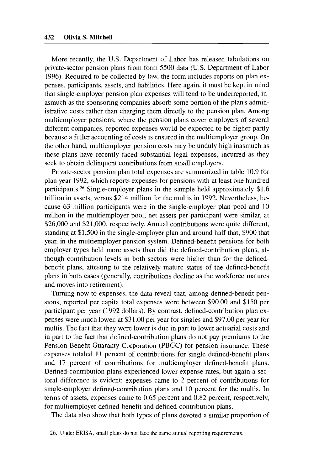More recently, the U.S. Department of Labor has released tabulations on private-sector pension plans from form 5500 data (U.S. Department of Labor 1996). Required to be collected by law, the form includes reports on plan expenses, participants, assets, and liabilities. Here again, it must be kept in mind that single-employer pension plan expenses will tend to be underreported, inasmuch as the sponsoring companies absorb some portion of the plan's administrative costs rather than charging them directly to the pension plan. Among multiemployer pensions, where the pension plans cover employers of several different companies, reported expenses would be expected to be higher partly because a fuller accounting of costs is ensured in the multiemployer group. On the other hand, multiemployer pension costs may be unduly high inasmuch as these plans have recently faced substantial legal expenses, incurred as they seek to obtain delinquent contributions from small employers.

Private-sector pension plan total expenses are summarized in table 10.9 for plan year 1992, which reports expenses for pensions with at least one hundred participants.<sup>26</sup> Single-employer plans in the sample held approximately \$1.6 trillion in assets, versus \$214 million for the multis in 1992. Nevertheless, because 63 million participants were in the single-employer plan pool and 10 million in the multiemployer pool, net assets per participant were similar, at \$26,000 and \$21,000, respectively. Annual contributions were quite different, standing at \$1,500 in the single-employer plan and around half that, \$900 that year, in the multiemployer pension system. Defined-benefit pensions for both employer types held more assets than did the defined-contribution plans, although contribution levels in both sectors were higher than for the definedbenefit plans, attesting to the relatively mature status of the defined-benefit plans in both cases (generally, contributions decline as the workforce matures and moves into retirement).

Turning now to expenses, the data reveal that, among defined-benefit pensions, reported per capita total expenses were between \$90.00 and \$150 per participant per year (1992 dollars). By contrast, defined-contribution plan expenses were much lower, at \$3 1 .OO per year for singles and \$97.00 per year for multis. The fact that they were lower is due in part to lower actuarial costs and in part to the fact that defined-contribution plans do not pay premiums to the Pension Benefit Guaranty Corporation (PBGC) for pension insurance. These expenses totaled 11 percent of contributions for single defined-benefit plans and 17 percent of contributions for multiemployer defined-benefit plans. Defined-contribution plans experienced lower expense rates, but again a sectoral difference is evident: expenses came to 2 percent of contributions for single-employer defined-contribution plans and 10 percent for the multis. In terms of assets, expenses came to 0.65 percent and 0.82 percent, respectively, for multiemployer defined-benefit and defined-contribution plans.

The data also show that both types of plans devoted a similar proportion of

<sup>26.</sup> Under **ERISA,** small plans do not face the same annual reporting requirements.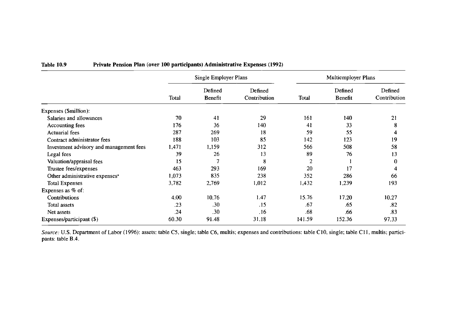|                                            | Single Employer Plans |                    |                         | Multiemployer Plans |                    |                         |
|--------------------------------------------|-----------------------|--------------------|-------------------------|---------------------|--------------------|-------------------------|
|                                            | Total                 | Defined<br>Benefit | Defined<br>Contribution | Total               | Defined<br>Benefit | Defined<br>Contribution |
| Expenses (\$million):                      |                       |                    |                         |                     |                    |                         |
| Salaries and allowances                    | 70                    | 41                 | 29                      | 161                 | 140                | 21                      |
| Accounting fees                            | 176                   | 36                 | 140                     | 41                  | 33                 | 8                       |
| Actuarial fees                             | 287                   | 269                | 18                      | 59                  | 55                 | 4                       |
| Contract administrator fees                | 188                   | 103                | 85                      | 142                 | 123                | 19                      |
| Investment advisory and management fees    | 1,471                 | 1,159              | 312                     | 566                 | 508                | 58                      |
| Legal fees                                 | 39                    | 26                 | 13                      | 89                  | 76                 | 13                      |
| Valuation/appraisal fees                   | 15                    | 7                  | 8                       | 2                   |                    | $\bf{0}$                |
| Trustee fees/expenses                      | 463                   | 293                | 169                     | 20                  | 17                 | 4                       |
| Other administrative expenses <sup>a</sup> | 1,073                 | 835                | 238                     | 352                 | 286                | 66                      |
| <b>Total Expenses</b>                      | 3,782                 | 2,769              | 1,012                   | 1.432               | 1,239              | 193                     |
| Expenses as % of:                          |                       |                    |                         |                     |                    |                         |
| Contributions                              | 4.00                  | 10.76              | 1.47                    | 15.76               | 17.20              | 10.27                   |
| Total assets                               | .23                   | .30                | .15                     | .67                 | .65                | .82                     |
| Net assets                                 | .24                   | .30                | .16                     | .68                 | .66                | .83                     |
| Expenses/participant (\$)                  | 60.30                 | 91.48              | 31.18                   | 141.59              | 152.36             | 97.33                   |

# **Table 10.9 Private Pension Plan (over 100 participants) Administrative Expenses (1992)**

Source: U.S. Department of Labor (1996): assets: table C5, single; table C6, multis; expenses and contributions: table C10, single; table C11, multis; participants: table B.4.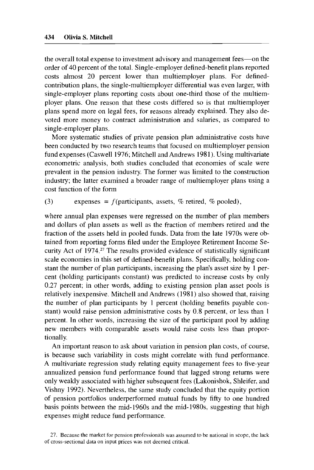the overall total expense to investment advisory and management fees-on the order of 40 percent of the total. Single-employer defined-benefit plans reported costs almost 20 percent lower than multiemployer plans. For definedcontribution plans, the single-multiemployer differential was even larger, with single-employer plans reporting costs about one-third those of the multiemployer plans. One reason that these costs differed so is that multiemployer plans spend more on legal fees, for reasons already explained. They also devoted more money to contract administration and salaries, as compared to single-employer plans.

More systematic studies of private pension plan administrative costs have been conducted by two research teams that focused on multiemployer pension fund expenses (Caswell 1976; Mitchell and Andrews 1981). Using multivariate econometric analysis, both studies concluded that economies of scale were prevalent in the pension industry. The former was limited to the construction industry; the latter examined a broader range of multiemployer plans using a cost function of the form

(3) expenses =  $f$ (participants, assets, % retired, % pooled),

where annual plan expenses were regressed on the number of plan members and dollars of plan assets as well as the fraction of members retired and the fraction of the assets held in pooled funds. Data from the late 1970s were obtained from reporting forms filed under the Employee Retirement Income Security Act of 1974.<sup>27</sup> The results provided evidence of statistically significant scale economies in this set of defined-benefit plans. Specifically, holding constant the number of plan participants, increasing the plan's asset size by 1 percent (holding participants constant) was predicted to increase costs by only 0.27 percent; in other words, adding to existing pension plan asset pools is relatively inexpensive. Mitchell and Andrews (1981) also showed that, raising the number of plan participants by 1 percent (holding benefits payable constant) would raise pension administrative costs by 0.8 percent, or less than 1 percent. In other words, increasing the size of the participant pool by adding new members with comparable assets would raise costs less than proportionally.

An important reason to ask about variation in pension plan costs, of course, is because such variability in costs might correlate with fund performance. A multivariate regression study relating equity management fees to five-year annualized pension fund performance found that lagged strong returns were only weakly associated with higher subsequent fees (Lakonishok, Shleifer, and Vishny 1992). Nevertheless, the same study concluded that the equity portion of pension portfolios underperformed mutual funds by fifty to one hundred basis points between the mid- 1960s and the mid-I980s, suggesting that high expenses might reduce fund performance.

27. Because the market for pension professionals was assumed to be national in scope, the lack of cross-sectional data on input prices was not dcemed critical.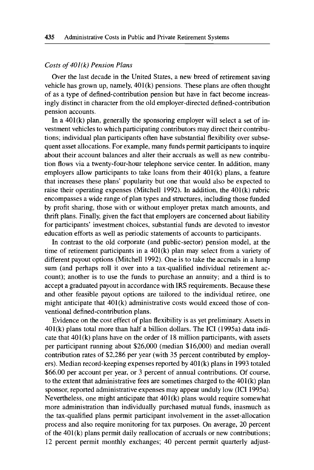# *Costs of 401(k) Pension Plans*

Over the last decade in the United States, a new breed of retirement saving vehicle has grown up, namely, 401(k) pensions. These plans are often thought of as a type of defined-contribution pension but have in fact become increasingly distinct in character from the old employer-directed defined-contribution pension accounts.

In a  $401(k)$  plan, generally the sponsoring employer will select a set of investment vehicles to which participating contributors may direct their contributions; individual plan participants often have substantial flexibility over subsequent asset allocations. For example, many funds permit participants to inquire about their account balances and alter their accruals as well as new contribution flows via a twenty-four-hour telephone service center. In addition, many employers allow participants to take loans from their 401(k) plans, a feature that increases these plans' popularity but one that would also be expected to raise their operating expenses (Mitchell 1992). In addition, the 401(k) rubric encompasses a wide range of plan types and structures, including those funded by profit sharing, those with or without employer pretax match amounts, and thrift plans. Finally, given the fact that employers are concerned about liability for participants' investment choices, substantial funds are devoted to investor education efforts as well as periodic statements of accounts to participants.

In contrast to the old corporate (and public-sector) pension model, at the time of retirement participants in a 401(k) plan may select from a variety of different payout options (Mitchell 1992). One is to take the accruals in a lump sum (and perhaps roll it over into a tax-qualified individual retirement account); another is to use the funds to purchase an annuity; and a third is to accept a graduated payout in accordance with IRS requirements. Because these and other feasible payout options are tailored to the individual retiree, one might anticipate that 401(k) administrative costs would exceed those of conventional defined-contribution plans.

Evidence on the cost effect of plan flexibility is as yet preliminary. Assets in 401(k) plans total more than half a billion dollars. The ICI (1995a) data indicate that  $401(k)$  plans have on the order of 18 million participants, with assets per participant running about \$26,000 (median \$16,000) and median overall contribution rates of \$2,286 per year (with 35 percent contributed by employers). Median record-keeping expenses reported by 401(k) plans in 1993 totaled \$66.00 per account per year, or 3 percent of annual contributions. Of course, to the extent that administrative fees are sometimes charged to the 401(k) plan sponsor, reported administrative expenses may appear unduly low (ICI 1995a). Nevertheless, one might anticipate that  $401(k)$  plans would require somewhat more administration than individually purchased mutual funds, inasmuch as the tax-qualified plans permit participant involvement in the asset-allocation process and also require monitoring for tax purposes. On average, 20 percent of the 401(k) plans permit daily reallocation of accruals or new contributions; 12 percent permit monthly exchanges; 40 percent permit quarterly adjust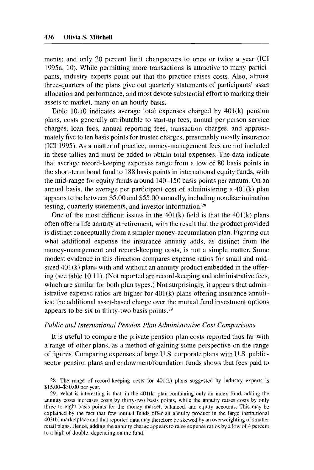ments; and only 20 percent limit changeovers to once or twice a year (ICI 1995a, 10). While permitting more transactions is attractive to many participants, industry experts point out that the practice raises costs. Also, almost three-quarters of the plans give out quarterly statements of participants' asset allocation and performance, and most devote substantial effort to marking their assets to market, many on an hourly basis.

Table 10.10 indicates average total expenses charged by 401(k) pension plans, costs generally attributable to start-up fees, annual per person service charges, loan fees, annual reporting fees, transaction charges, and approximately five to ten basis points for trustee charges, presumably mostly insurance (ICI 1995). **As** a matter of practice, money-management fees are not included in these tallies and must be added to obtain total expenses. The data indicate that average record-keeping expenses range from a low of 80 basis points in the short-term bond fund to 188 basis points in international equity funds, with the mid-range for equity funds around 140-150 basis points per annum. On an annual basis, the average per participant cost of administering a 401(k) plan appears to be between \$5.00 and \$55.00 annually, including nondiscrimination testing, quarterly statements, and investor information.<sup>28</sup>

One of the most difficult issues in the  $401(k)$  field is that the  $401(k)$  plans often offer a life annuity at retirement, with the result that the product provided is distinct conceptually from a simpler money-accumulation plan. Figuring out what additional expense the insurance annuity adds, as distinct from the money-management and record-keeping costs, is not a simple matter. Some modest evidence in this direction compares expense ratios for small and midsized 401(k) plans with and without an annuity product embedded in the offering (see table 10.11). (Not reported are record-keeping and administrative fees, which are similar for both plan types.) Not surprisingly, it appears that administrative expense ratios are higher for  $401(k)$  plans offering insurance annuities: the additional asset-based charge over the mutual fund investment options appears to be six to thirty-two basis points. $29$ 

#### *Public and International Pension Plan Administrative Cost Comparisons*

It is useful to compare the private pension plan costs reported thus far with a range of other plans, as a method of gaining some perspective on the range of figures. Comparing expenses of large **U.S.** corporate plans with U.S. publicsector pension plans and endowment/foundation funds shows that fees paid to

<sup>28.</sup> The range of record-keeping costs for  $401(k)$  plans suggested by industry experts is \$15.00-\$30.00 per year.

<sup>29.</sup> What is interesting is that, in the  $401(k)$  plan containing only an index fund, adding the annuity costs increases costs by thirty-two basis points, while the annuity raises costs by only three to eight basis points for the money market, balanced, and equity accounts. This may he explained by the fact that few mutual funds offer an annuity product in the large institutional 403(h) marketplace and that reported data may therefore be skewed by an overweighting of smaller retail plans. Hence, adding the annuity charge appears to raise expense ratios by a low of 4 percent to a high of double, depending on the fund.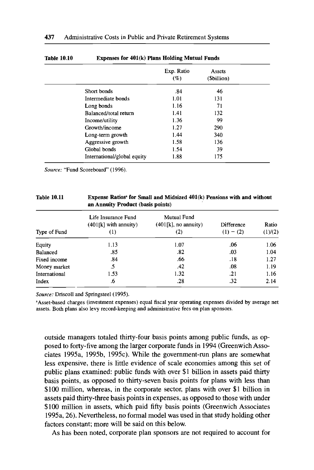|                             | Exp. Ratio<br>$(\%)$ | Assets<br>(\$billion) |  |
|-----------------------------|----------------------|-----------------------|--|
| Short bonds                 | .84                  | 46                    |  |
| Intermediate bonds          | 1.01                 | 131                   |  |
| Long bonds                  | 1.16                 | 71                    |  |
| Balanced/total return       | 1.41                 | 132                   |  |
| Income/utility              | 1.36                 | 99                    |  |
| Growth/income               | 1.27                 | 290                   |  |
| Long-term growth            | 1.44                 | 340                   |  |
| Aggressive growth           | 1.58                 | 136                   |  |
| Global bonds                | 1.54                 | 39                    |  |
| International/global equity | 1.88                 | 175                   |  |

#### **Table 10.10 Expenses for 401(k) Plans Holding Mutual Funds**

*Source:* "Fund Scoreboard" (1996).

# **Table 10.11 Expense Ratios" for Small and Midsized 401(k) Pensions with and without an Annuity Product (basis points)**

| Type of Fund  | Life Insurance Fund<br>$(401[k]$ with annuity)<br>$\left(1\right)$ | Mutual Fund<br>(401[k], no annuity)<br>$\scriptstyle{(2)}$ | Difference<br>$(1) - (2)$ | Ratio<br>(1)/(2) |
|---------------|--------------------------------------------------------------------|------------------------------------------------------------|---------------------------|------------------|
| Equity        | 1.13                                                               | 1.07                                                       | .06                       | 1.06             |
| Balanced      | .85                                                                | .82                                                        | .03                       | 1.04             |
| Fixed income  | .84                                                                | .66                                                        | .18                       | 1.27             |
| Money market  | .5                                                                 | .42                                                        | .08                       | 1.19             |
| International | 1.53                                                               | 1.32                                                       | .21                       | 1.16             |
| Index         | .6                                                                 | .28                                                        | .32                       | 2.14             |

*Source:* Driscoll and Springsteel (1995).

"Asset-based charges (investment expenses) equal fiscal year operating expenses divided by average net assets. Both plans also levy record-keeping and administrative fees on plan sponsors.

outside managers totaled thirty-four basis points among public funds, as opposed to forty-five among the larger corporate funds in 1994 (Greenwich **Asso**ciates 1995a, 1995b, 1995c). While the government-run plans are somewhat less expensive, there is little evidence of scale economies among this set of public plans examined: public funds with over \$1 billion in assets paid thirty basis points, as opposed to thirty-seven basis points for plans with less than \$100 million, whereas, in the corporate sector, plans with over \$1 billion in assets paid thirty-three basis points in expenses, as opposed to those with under \$100 million in assets, which paid fifty basis points (Greenwich Associates 1995a, 26). Nevertheless, no formal model was used in that study holding other factors constant; more will be said on this below.

As has been noted, corporate plan sponsors are not required to account for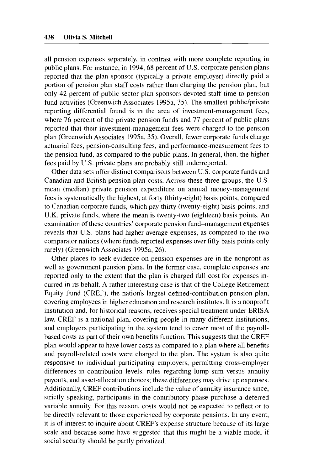all pension expenses separately, in contrast with more complete reporting in public plans. For instance, in 1994,68 percent of U.S. corporate pension plans reported that the plan sponsor (typically a private employer) directly paid a portion of pension plan staff costs rather than charging the pension plan, but only 42 percent of public-sector plan sponsors devoted staff time to pension fund activities (Greenwich Associates 1995a, 35). The smallest public/private reporting differential found is in the area of investment-management fees, where 76 percent of the private pension funds and 77 percent of public plans reported that their investment-management fees were charged to the pension plan (Greenwich Associates 1995a, 35). Overall, fewer corporate funds charge actuarial fees, pension-consulting fees, and performance-measurement fees to the pension fund, as compared to the public plans. In general, then, the higher fees paid by US. private plans are probably still underreported.

Other data sets offer distinct comparisons between U.S. corporate funds and Canadian and British pension plan costs. Across these three groups, the U.S. mean (median) private pension expenditure on annual money-management fees is systematically the highest, at forty (thirty-eight) basis points, compared to Canadian corporate funds, which pay thirty (twenty-eight) basis points, and U.K. private funds, where the mean is twenty-two (eighteen) basis points. An examination of these countries' corporate pension fund-management expenses reveals that U.S. plans had higher average expenses, as compared to the two comparator nations (where funds reported expenses over fifty basis points only rarely) (Greenwich Associates 1995a, 26).

Other places to seek evidence on pension expenses are in the nonprofit as well as government pension plans. In the former case, complete expenses are reported only to the extent that the plan is charged full cost for expenses incurred in its behalf. A rather interesting case is that of the College Retirement Equity Fund (CREF), the nation's largest defined-contribution pension plan, covering employees in higher education and research institutes. It is a nonprofit institution and, for historical reasons, receives special treatment under ERISA law. CREF is a national plan, covering people in many different institutions, and employers participating in the system tend to cover most of the payrollbased costs as part of their own benefits function. This suggests that the CREF plan would appear to have lower costs as compared to a plan where all benefits and payroll-related costs were charged to the plan. The system is also quite responsive to individual participating employers, permitting cross-employer differences in contribution levels, rules regarding lump sum versus annuity payouts, and asset-allocation choices; these differences may drive up expenses. Additionally, CREF contributions include the value of annuity insurance since, strictly speaking, participants in the contributory phase purchase a deferred variable annuity. For this reason, costs would not be expected to reflect or to be directly relevant to those experienced by corporate pensions. In any event, it is of interest to inquire about CREF's expense structure because of its large scale and because some have suggested that this might be a viable model if social security should be partly privatized.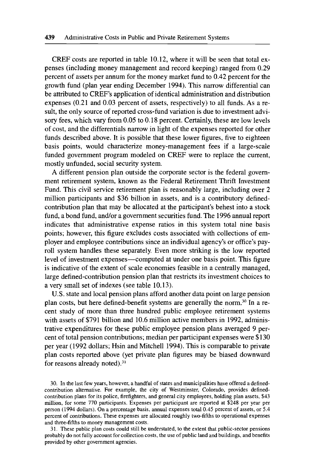CREF costs are reported in table 10.12, where it will be seen that total expenses (including money management and record keeping) ranged from 0.29 percent of assets per annum for the money market fund to **0.42** percent for the growth fund (plan year ending December 1994). This narrow differential can be attributed to CREF's application of identical administration and distribution expenses (0.21 and 0.03 percent of assets, respectively) to all funds. **As** a result, the only source of reported cross-fund variation is due to investment advisory fees, which vary from 0.05 to 0.18 percent. Certainly, these are low levels of cost, and the differentials narrow in light of the expenses reported for other funds described above. It is possible that these lower figures, five to eighteen basis points, would characterize money-management fees if a large-scale funded government program modeled on CREF were to replace the current, mostly unfunded, social security system.

**A** different pension plan outside the corporate sector is the federal government retirement system, known as the Federal Retirement Thrift Investment Fund. This civil service retirement plan is reasonably large, including over 2 million participants and \$36 billion in assets, and is a contributory definedcontribution plan that may be allocated at the participant's behest into a stock fund, a bond fund, and/or a government securities fund. The 1996 annual report indicates that administrative expense ratios in this system total nine basis points; however, this figure excludes costs associated with collections of employer and employee contributions since an individual agency's or office's payroll system handles these separately. Even more striking is the low reported level of investment expenses—computed at under one basis point. This figure is indicative of the extent of scale economies feasible in a centrally managed, large defined-contribution pension plan that restricts its investment choices to a very small set of indexes (see table 10.13).

**U.S.** state and local pension plans afford another data point on large pension plan costs, but here defined-benefit systems are generally the norm.<sup>30</sup> In a recent study of more than three hundred public employee retirement systems with assets of \$791 billion and 10.6 million active members in 1992, administrative expenditures for these public employee pension plans averaged 9 percent of total pension contributions; median per participant expenses were \$130 per year (1992 dollars; Hsin and Mitchell 1994). This is comparable to private plan costs reported above (yet private plan figures may be biased downward for reasons already noted).<sup>31</sup>

30. **In the last few years, however, a handful of states and municipalities have offered a definedcontribution alternative. For example, the city of Westminster, Colorado, provides definedcontribution plans for its police, firefighters, and general city employees, holding plan assets,** \$43 **million, for some 770 participants. Expenses per participant are reported at** \$248 **per year per person** (1994 **dollars).** On **a percentage basis, annual expenses total** 0.45 **percent of assets,** or **5.4 percent of contributions. These expenses are allocated roughly two-fifths to operational expenses and three-fifths to money management costs.** 

3 **1. These public plan costs could still be understated, to the extent that public-sector pensions probably do not fully account for collection costs,** the use **of public land and buildings, and benefits provided by other government agencies.**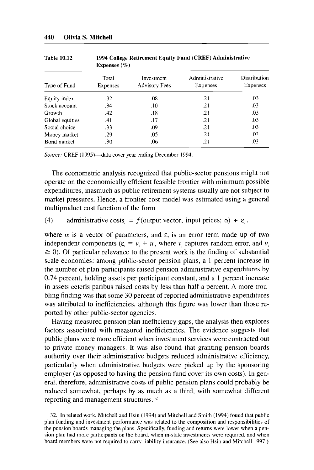|                 | Expenses $(\%)$          |                                    |                                   |                          |
|-----------------|--------------------------|------------------------------------|-----------------------------------|--------------------------|
| Type of Fund    | Total<br><b>Expenses</b> | Investment<br><b>Advisory Fees</b> | Administrative<br><b>Expenses</b> | Distribution<br>Expenses |
| Equity index    | .32                      | .08                                | .21                               | .03                      |
| Stock account   | .34                      | .10                                | .21                               | .03                      |
| Growth          | .42                      | .18                                | .21                               | .03                      |
| Global equities | .41                      | .17                                | .21                               | .03                      |
| Social choice   | .33                      | .09                                | .21                               | .03                      |
| Money market    | .29                      | .05                                | .21                               | .03                      |
| Bond market     | .30                      | .06                                | .21                               | .03                      |

| Table 10.12 | 1994 College Retirement Equity Fund (CREF) Administrative |
|-------------|-----------------------------------------------------------|
|             | Expenses $(\%)$                                           |

*Source:* CREF (1995)—data cover year ending December 1994.

The econometric analysis recognized that public-sector pensions might not operate on the economically efficient feasible frontier with minimum possible expenditures, inasmuch as public retirement systems usually are not subject to market pressures. Hence, a frontier cost model was estimated using a general multiproduct cost function of the form

(4) administrative costs<sub>i</sub> =  $f$ (output vector, input prices;  $\alpha$ ) +  $\varepsilon$ <sub>i</sub>,

where  $\alpha$  is a vector of parameters, and  $\varepsilon$ , is an error term made up of two independent components ( $\varepsilon_i = v_i + u_j$ , where *v<sub>i</sub>* captures random error, and *u<sub>i</sub>*  $2 \ge 0$ ). Of particular relevance to the present work is the finding of substantial scale economies: among public-sector pension plans, a 1 percent increase in the number of plan participants raised pension administrative expenditures by 0.74 percent, holding assets per participant constant, and a 1 percent increase in assets ceteris paribus raised costs by less than half a percent. **A** more troubling finding was that some 30 percent of reported administrative expenditures was attributed to inefficiencies, although this figure was lower than those reported by other public-sector agencies.

Having measured pension plan inefficiency gaps, the analysis then explores factors associated with measured inefficiencies. The evidence suggests that public plans were more efficient when investment services were contracted out to private money managers. It was also found that granting pension boards authority over their administrative budgets reduced administrative efficiency, particularly when administrative budgets were picked up by the sponsoring employer (as opposed to having the pension fund cover its own costs). In general, therefore, administrative costs of public pension plans could probably be reduced somewhat, perhaps by as much as a third, with somewhat different reporting and management structures.<sup>32</sup>

32. In related work, Mitchell and Hsin (1994) and Mitchell and Smith (1994) found that public plan funding and investment performance was related to the composition and responsibilities of the pension boards managing the plans. Specifically, funding and returns were lower when a pension plan had more participants on the board, when in-state investments were required, and when board members were not required to carry liability insurance. (See also Hsin and Mitchcll 1997.)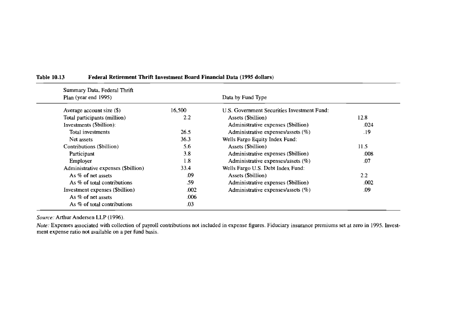| Plan (year end 1995)                |        | Data by Fund Type                           |         |  |  |
|-------------------------------------|--------|---------------------------------------------|---------|--|--|
| Average account size $(\$)$         | 16,500 | U.S. Government Securities Investment Fund: |         |  |  |
| Total participants (million)        | 2.2    | Assets (\$billion)                          | 12.8    |  |  |
| Investments (\$billion):            |        | Administrative expenses (\$billion)         | .024    |  |  |
| Total investments                   | 26.5   | Administrative expenses/assets $(\%)$       | .19     |  |  |
| Net assets                          | 36.3   | Wells Fargo Equity Index Fund:              |         |  |  |
| Contributions (\$billion)           | 5.6    | Assets (\$billion)                          | 11.5    |  |  |
| Participant                         | 3.8    | Administrative expenses (\$billion)         | .008    |  |  |
| Employer                            | 1.8    | Administrative expenses/assets (%)          | -07     |  |  |
| Administrative expenses (\$billion) | 33.4   | Wells Fargo U.S. Debt Index Fund.           |         |  |  |
| As % of net assets                  | .09    | Assets (\$billion)                          | $2.2\,$ |  |  |
| As % of total contributions         | 59     | Administrative expenses (\$billion)         | .002    |  |  |
| Investment expenses (\$billion)     | .002   | Administrative expenses/assets $(\%)$       | -09     |  |  |
| As % of net assets                  | .006   |                                             |         |  |  |
| As % of total contributions         | .03    |                                             |         |  |  |

# **Table 10.13 Federal Retirement Thrift Investment Board Financial Data (1995 dollars)**

Source: Arthur Andersen LLP (1996).

*Nore;* Expenses associated with collection of payroll contributions not included in expense figures. Fiduciary insurance premiums set at zero in 1995. Investment expense ratio not available on a per fund basis.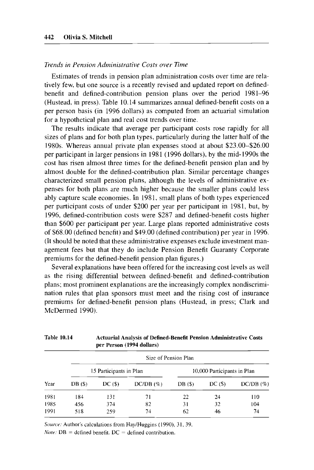# *Trends in Pension Administrative Costs over Time*

Estimates of trends in pension plan administration costs over time are relatively few, but one source is a recently revised and updated report on definedbenefit and defined-contribution pension plans over the period 198 1-96 (Hustead, in press). Table 10.14 summarizes annual defined-benefit costs on a per person basis (in 1996 dollars) as computed from an actuarial simulation for a hypothetical plan and real cost trends over time.

The results indicate that average per participant costs rose rapidly for all sizes of plans and for both plan types, particularly during the latter half of the 1980s. Whereas annual private plan expenses stood at about \$23.00-\$26.00 per participant in larger pensions in 198 1 (1996 dollars), by the mid- 1990s the cost has risen almost three times for the defined-benefit pension plan and by almost double for the defined-contribution plan. Similar percentage changes characterized small pension plans, although the levels of administrative expenses for both plans are much higher because the smaller plans could less ably capture scale economies. In 1981, small plans of both types experienced per participant costs of under \$200 per year per participant in 1981, but, by 1996, defined-contribution costs were \$287 and defined-benefit costs higher than \$600 per participant per year. Large plans reported administrative costs of \$68.00 (defined benefit) and \$49.00 (defined contribution) per year in 1996. (It should be noted that these administrative expenses exclude investment management fees but that they do include Pension Benefit Guaranty Corporate premiums for the defined-benefit pension plan figures.)

Several explanations have been offered for the increasing cost levels as well as the rising differential between defined-benefit and defined-contribution plans; most prominent explanations are the increasingly complex nondiscrimination rules that plan sponsors must meet and the rising cost of insurance premiums for defined-benefit pension plans (Hustead, in press; Clark and McDermed 1990).

| 1able 10.14 |                         |                    | Actuarial Analysis of Defined-Benefit Pension Administrative Costs<br>per Person (1994 dollars) |                             |       |           |  |  |
|-------------|-------------------------|--------------------|-------------------------------------------------------------------------------------------------|-----------------------------|-------|-----------|--|--|
|             | Size of Pension Plan    |                    |                                                                                                 |                             |       |           |  |  |
| Year        | 15 Participants in Plan |                    |                                                                                                 | 10,000 Participants in Plan |       |           |  |  |
|             | DB (\$)                 | DC( <sub>S</sub> ) | DC/DB (%)                                                                                       | DB()                        | DC(5) | DC/DB (%) |  |  |
| 1981        | 184                     | 131                | 71                                                                                              | 22                          | 24    | 110       |  |  |
| 1985        | 456                     | 374                | 82                                                                                              | 31                          | 32    | 104       |  |  |
| 1991        | 518                     | 259                | 74                                                                                              | 62                          | 46    | 74        |  |  |

**Table 10.14 Actuarial Analysis of Defined-Benefit Pension Administrative Costs** 

*Source:* Author's calculations from Hay/Huggins (1990), 31, 39.

 $Note: DB = defined benefit. DC = defined contribution.$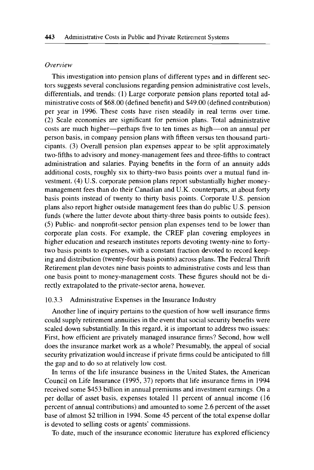#### *Overview*

This investigation into pension plans of different types and in different sectors suggests several conclusions regarding pension administrative cost levels, differentials, and trends: (1) Large corporate pension plans reported total administrative costs of \$68.00 (defined benefit) and \$49.00 (defined contribution) per year in 1996. These costs have risen steadily in real terms over time. *(2)* Scale economies are significant for pension plans. Total administrative costs are much higher-perhaps five to ten times as high-on an annual per person basis, in company pension plans with fifteen versus ten thousand participants. *(3)* Overall pension plan expenses appear to be split approximately two-fifths to advisory and money-management fees and three-fifths to contract administration and salaries. Paying benefits in the form of an annuity adds additional costs, roughly six to thirty-two basis points over a mutual fund investment. (4) U.S. corporate pension plans report substantially higher moneymanagement fees than do their Canadian and U.K. counterparts, at about forty basis points instead of twenty to thirty basis points. Corporate **U.S.** pension plans also report higher outside management fees than do public U.S. pension funds (where the latter devote about thirty-three basis points to outside fees). (5) Public- and nonprofit-sector pension plan expenses tend to be lower than corporate plan costs. For example, the CREF plan covering employees in higher education and research institutes reports devoting twenty-nine to fortytwo basis points to expenses, with a constant fraction devoted to record keeping and distribution (twenty-four basis points) across plans. The Federal Thrift Retirement plan devotes nine basis points to administrative costs and less than one basis point to money-management costs. These figures should not be directly extrapolated to the private-sector arena, however.

# 10.3.3 Administrative Expenses in the Insurance Industry

Another line of inquiry pertains to the question of how well insurance firms could supply retirement annuities in the event that social security benefits were scaled down substantially. In this regard, it is important to address two issues: First, how efficient are privately managed insurance firms? Second, how well does the insurance market work as a whole? Presumably, the appeal of social security privatization would increase if private firms could be anticipated to fill the gap and to do so at relatively low cost.

In terms of the life insurance business in the United States, the American Council on Life Insurance (1995, 37) reports that life insurance firms in 1994 received some \$453 billion in annual premiums and investment earnings. On a per dollar of asset basis, expenses totaled 11 percent of annual income (16 percent of annual contributions) and amounted to some *2.6* percent of the asset base of almost *\$2* trillion in 1994. Some 45 percent of the total expense dollar is devoted to selling costs or agents' commissions.

To date, much of the insurance economic literature has explored efficiency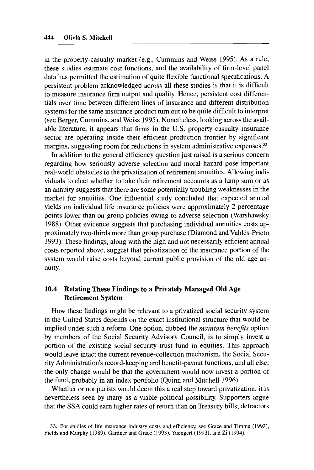in the property-casualty market (e.g., Cummins and Weiss 1995). As a rule, these studies estimate cost functions, and the availability of firm-level panel data has permitted the estimation of quite flexible functional specifications. A persistent problem acknowledged across all these studies is that it is difficult to measure insurance firm output and quality. Hence, persistent cost differentials over time between different lines of insurance and different distribution systems for the same insurance product turn out to be quite difficult to interpret (see Berger, Cummins, and Weiss 1995). Nonetheless, looking across the available literature, it appears that firms in the US. property-casualty insurance sector are operating inside their efficient production frontier by significant margins, suggesting room for reductions in system administrative expenses.<sup>33</sup>

In addition to the general efficiency question just raised is a serious concern regarding how seriously adverse selection and moral hazard pose important real-world obstacles to the privatization of retirement annuities. Allowing individuals to elect whether to take their retirement accounts as a lump sum or as an annuity suggests that there are some potentially troubling weaknesses in the market for annuities. One influential study concluded that expected annual yields on individual life insurance policies were approximately *2* percentage points lower than on group policies owing to adverse selection (Warshawsky 1988). Other evidence suggests that purchasing individual annuities costs approximately two-thirds more than group purchase (Diamond and Valdés-Prieto 1993). These findings, along with the high and not necessarily efficient annual costs reported above, suggest that privatization of the insurance portion of the system would raise costs beyond current public provision of the old age annuity.

# **10.4 Relating These Findings to a Privately Managed Old Age Retirement System**

How these findings might be relevant to a privatized social security system in the United States depends on the exact institutional structure that would be implied under such a reform. One option, dubbed the *maintain benefits* option by members of the Social Security Advisory Council, is to simply invest a portion of the existing social security trust fund in equities. This approach would leave intact the current revenue-collection mechanism, the Social Security Administration's record-keeping and benefit-payout functions, and all else; the only change would be that the government would now invest a portion of the fund, probably in an index portfolio (Quinn and Mitchell 1996).

Whether or not purists would deem this a real step toward privatization, it is nevertheless seen by many as a viable political possibility. Supporters argue that the SSA could earn higher rates of return than on Treasury bills; detractors

33. For studies of life insurance industry costs and efficiency, see Grace and Timme (1992), Fields and Murphy (1989), Gardner and Grace (1993), Yuengert (1993), and Zi (1994).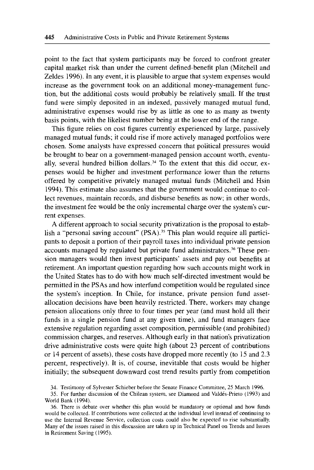point to the fact that system participants may be forced to confront greater capital market risk than under the current defined-benefit plan (Mitchell and Zeldes 1996). In any event, it is plausible to argue that system expenses would increase as the government took on an additional money-management function, but the additional costs would probably be relatively small. **If** the trust fund were simply deposited in an indexed, passively managed mutual fund, administrative expenses would rise by as little as one to as many as twenty basis points, with the likeliest number being at the lower end of the range.

This figure relies on cost figures currently experienced by large, passively managed mutual funds; it could rise if more actively managed portfolios were chosen. Some analysts have expressed concern that political pressures would be brought to bear on a government-managed pension account worth, eventually, several hundred billion dollars.<sup>34</sup> To the extent that this did occur, expenses would be higher and investment performance lower than the returns offered by competitive privately managed mutual funds (Mitchell and Hsin 1994). This estimate also assumes that the government would continue to collect revenues, maintain records, and disburse benefits as now; in other words, the investment fee would be the only incremental charge over the system's current expenses.

A different approach to social security privatization is the proposal to establish a "personal saving account" (PSA).<sup>35</sup> This plan would require all participants to deposit a portion of their payroll taxes into individual private pension accounts managed by regulated but private fund administrators.<sup>36</sup> These pension managers would then invest participants' assets and pay out benefits at retirement. An important question regarding how such accounts might work in the United States has to do with how much self-directed investment would be permitted in the PSAs and how interfund competition would be regulated since the system's inception. In Chile, for instance, private pension fund assetallocation decisions have been heavily restricted. There, workers may change pension allocations only three to four times per year (and must hold all their funds in a single pension fund at any given time), and fund managers face extensive regulation regarding asset composition, permissible (and prohibited) commission charges, and reserves. Although early in that nation's privatization drive administrative costs were quite high (about 23 percent of contributions or 14 percent of assets), these costs have dropped more recently (to 15 and 2.3 percent, respectively). It is, of course, inevitable that costs would be higher initially; the subsequent downward cost trend results partly from competition

<sup>34.</sup> Testimony of Sylvester Schieber before the Senate Finance Committee, *25* March 1996.

<sup>35.</sup> For further discussion of the Chilean system, see Diamond and Valdés-Prieto (1993) and World Bank (1994).

<sup>36.</sup> There is debate over whether this plan would be mandatory or optional and how funds would be collected. If contributions were collected at the individual level instead of continuing to use the Internal Revenue Service, collection costs could also be expected to rise substantially. Many of the issues raised in this discussion are taken up in Technical Panel on Trends and Issues in Retirement Saving (1995).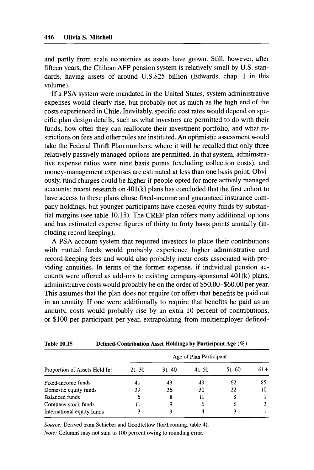and partly from scale economies as assets have grown. Still, however, after fifteen years, the Chilean AFP pension system is relatively small by **U.S.** standards, having assets of around U.S.\$25 billion (Edwards, chap. 1 in this volume).

If a PSA system were mandated in the United States, system administrative expenses would clearly rise, but probably not as much as the high end of the costs experienced in Chile. Inevitably, specific cost rates would depend on specific plan design details, such as what investors are permitted to do with their funds, how often they can reallocate their investment portfolio, and what restrictions on fees and other rules are instituted. An optimistic assessment would take the Federal Thrift Plan numbers, where it will be recalled that only three relatively passively managed options are permitted. In that system, administrative expense ratios were nine basis points (excluding collection costs), and money-management expenses are estimated at less than one basis point. Obviously, fund charges could be higher if people opted for more actively managed accounts; recent research on  $401(k)$  plans has concluded that the first cohort to have access to these plans chose fixed-income and guaranteed insurance company holdings, but younger participants have chosen equity funds by substantial margins (see table 10.15). The CREF plan offers many additional options and has estimated expense figures of thirty to forty basis points annually (including record keeping).

A PSA account system that required investors to place their contributions with mutual funds would probably experience higher administrative and record-keeping fees and would also probably incur costs associated with providing annuities. In terms of the former expense, if individual pension accounts were offered as add-ons to existing company-sponsored  $401(k)$  plans, administrative costs would probably be on the order of \$50.00-\$60.00 per year. This assumes that the plan does not require (or offer) that benefits be paid out in an annuity. If one were additionally to require that benefits be paid as an annuity, costs would probably rise by an extra 10 percent of contributions, or \$100 per participant per year, extrapolating from multiemployer defined-

| Age of Plan Participant |           |           |           |       |  |  |
|-------------------------|-----------|-----------|-----------|-------|--|--|
| $21 - 30$               | $31 - 40$ | $41 - 50$ | $51 - 60$ | $61+$ |  |  |
| 41                      | 43        | 49        | 62        | 85    |  |  |
| 39                      | 36        | 30        | 22        | 10    |  |  |
| 6                       | 8         | 11        |           |       |  |  |
|                         |           | 6         | 6         |       |  |  |
|                         |           | 4         |           |       |  |  |
|                         |           |           |           |       |  |  |

**Table 10.15 Defined-Contribution Asset Holdings by Participant Age** (%)

*Source:* Derived from Schieber and Goodfellow (forthcoming, table 4). *Note:* Columns may not sum to 100 percent owing to rounding error.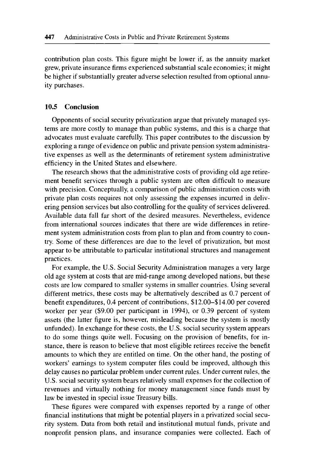contribution plan costs. This figure might be lower if, as the annuity market grew, private insurance firms experienced substantial scale economies; it might be higher if substantially greater adverse selection resulted from optional annuity purchases.

# **10.5 Conclusion**

Opponents of social security privatization argue that privately managed systems are more costly to manage than public systems, and this is a charge that advocates must evaluate carefully. This paper contributes to the discussion by exploring a range of evidence on public and private pension system administrative expenses as well as the determinants of retirement system administrative efficiency in the United States and elsewhere.

The research shows that the administrative costs of providing old age retirement benefit services through a public system are often difficult to measure with precision. Conceptually, a comparison of public administration costs with private plan costs requires not only assessing the expenses incurred in delivering pension services but also controlling for the quality of services delivered. Available data fall far short of the desired measures. Nevertheless, evidence from international sources indicates that there are wide differences in retirement system administration costs from plan to plan and from country to coun**try.** Some of these differences are due to the level of privatization, but most appear to be attributable to particular institutional structures and management practices.

For example, the U.S. Social Security Administration manages a very large old age system at costs that are mid-range among developed nations, but these costs are low compared to smaller systems in smaller countries. Using several different metrics, these costs may be alternatively described as 0.7 percent of benefit expenditures, 0.4 percent of contributions, \$12.00-\$14.00 per covered worker per year (\$9.00 per participant in 1994), or 0.39 percent of system assets (the latter figure is, however, misleading because the system is mostly unfunded). In exchange for these costs, the U.S. social security system appears to do some things quite well. Focusing on the provision of benefits, for instance, there is reason to believe that most eligible retirees receive the benefit amounts to which they are entitled on time. On the other hand, the posting of workers' earnings to system computer files could be improved, although this delay causes no particular problem under current rules. Under current rules, the U.S. social security system bears relatively small expenses for the collection of revenues and virtually nothing for money management since funds must by law be invested in special issue Treasury bills.

These figures were compared with expenses reported by a range of other financial institutions that might be potential players in a privatized social security system. Data from both retail and institutional mutual funds, private and nonprofit pension plans, and insurance companies were collected. Each of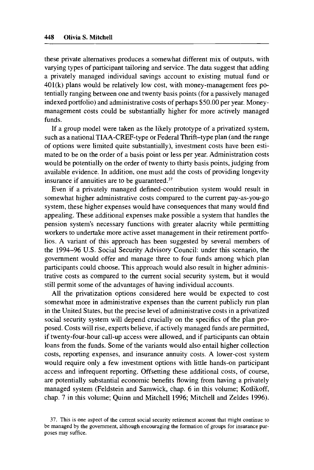these private alternatives produces a somewhat different mix of outputs, with varying types of participant tailoring and service. The data suggest that adding a privately managed individual savings account to existing mutual fund or  $401(k)$  plans would be relatively low cost, with money-management fees potentially ranging between one and twenty basis points (for a passively managed indexed portfolio) and administrative costs of perhaps \$50.00 per year. Moneymanagement costs could be substantially higher for more actively managed funds.

If a group model were taken as the likely prototype of a privatized system, such as a national TIAA-CREF-type or Federal Thrift-type plan (and the range of options were limited quite substantially), investment costs have been estimated to be on the order of a basis point or less per year. Administration costs would be potentially on the order of twenty to thirty basis points, judging from available evidence. In addition, one must add the costs of providing longevity insurance if annuities are to be guaranteed. $37$ 

Even if a privately managed defined-contribution system would result in somewhat higher administrative costs compared to the current pay-as-you-go system, these higher expenses would have consequences that many would find appealing. These additional expenses make possible a system that handles the pension system's necessary functions with greater alacrity while permitting workers to undertake more active asset management in their retirement portfolios. A variant of this approach has been suggested by several members of the 1994-96 U.S. Social Security Advisory Council: under this scenario, the government would offer and manage three to four funds among which plan participants could choose. This approach would also result in higher administrative costs as compared to the current social security system, but it would still permit some of the advantages of having individual accounts.

All the privatization options considered here would be expected to cost somewhat more in administrative expenses than the current publicly run plan in the United States, but the precise level of administrative costs in a privatized social security system will depend crucially on the specifics of the plan proposed. Costs will rise, experts believe, if actively managed funds are permitted, if twenty-four-hour call-up access were allowed, and if participants can obtain loans from the funds. Some of the variants would also entail higher collection costs, reporting expenses, and insurance annuity costs. A lower-cost system would require only a few investment options with little hands-on participant access and infrequent reporting. Offsetting these additional costs, of course, are potentially substantial economic benefits flowing from having a privately managed system (Feldstein and Samwick, chap. 6 in this volume; Kotlikoff, chap. 7 in this volume; Quinn and Mitchell 1996; Mitchell and Zeldes 1996).

<sup>37.</sup> This is one aspect of the current social security retirement account that might continue to be managed by the government, although encouraging the formation of groups for insurance purposes may suffice.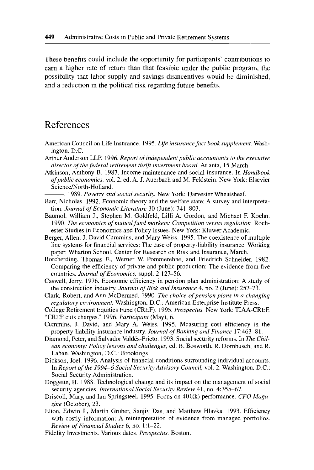These benefits could include the opportunity for participants' contributions to earn a higher rate of return than that feasible under the public program, the possibility that labor supply and savings disincentives would be diminished, and a reduction in the political risk regarding future benefits.

# References

- American Council on Life Insurance. 1995. *Life insurance fact book supplement*. Washington, D.C.
- Arthur Anderson LLP. 1996. *Report of independent public accountants to the executive director of the federal retirement thrip investment board.* Atlanta, 15 March.
- Atkinson, Anthony B. 1987. Income maintenance and social insurance. In *Handbook ofpublic economics,* vol. 2, ed. A. J. Auerbach and M. Feldstein. New York: Elsevier Science/Nortb-Holland.

. 1989. *Poverty and social security.* New York: Harvester Wheatsheaf.

- Barr, Nicholas. 1992. Economic theory and the welfare state: A survey and interpretation. *Journal of Economic Literature 30* (June): 741-803.
- Baumol, William J., Stephen M. Goldfeld, Lilli A. Gordon, and Michael F. Koehn. 1990. *The economics of mutual fund markets: Competition versus regulation.* Rochester Studies in Economics and Policy Issues. New York: Kluwer Academic.
- Berger, Allen, J. David Cummins, and Mary Weiss. 1995. The coexistence of multiple line systems for financial services: The case of property-liability insurance. Working paper. Wharton School, Center for Research on Risk and Insurance, March.
- Borcherding, Thomas E., Werner W. Pommerehne, and Friedrich Schneider. 1982. Comparing the efficiency of private and public production: The evidence from five countries. *Journal of Economics,* suppl. 2: 127-56.
- Caswell, Jerry. 1976. Economic efficiency in pension plan administration: A study of the construction industry. *Journal of Risk and Insurance* 4, no. 2 (June): 257-73.
- Clark, Robert, and Ann McDermed. 1990. *The choice of pension plans in a changing regulatory environment.* Washington, D.C.: American Enterprise Institute Press.
- College Retirement Equities Fund (CREF). 1995. *Prospectus.* New York: TIAA-CREE "CREF cuts charges." 1996. *Participant* (May), *6.*
- Cummins, J. David, and Mary **A.** Weiss. 1995. Measuring cost efficiency in the property-liability insurance industry. *Journal of Banking and Finance* 17:463-8 1.
- Diamond, Peter, and Salvador Valdes-Prieto. 1993. Social security reforms. In *The Chilean economy: Policy lessons and challenges,* ed. B. Bosworth, R. Dornbusch, and R. Laban. Washington, D.C.: Brookings.
- Dickson, Joel. 1996. Analysis of financial conditions surrounding individual accounts. In *Report of the 1994-6 Social Security Advisov Council,* vol. 2. Washington, D.C.: Social Security Administration.
- Doggette, H. 1988. Technological change and its impact on the management of social security agencies. *International Social Security Review* 41, no. 4:355-67.
- Driscoll, Mary, and Ian Springsteel. 1995. Focus on 401(k) performance. *CFO Magazine* (October), 23.
- Elton, Edwin J., Martin Gruber, Sanjiv Das, and Matthew Hlavka. 1993. Efficiency with costly information: A reinterpretation of evidence from managed portfolios. *Review of Financial Studies 6,* no. 1: 1-22.
- Fidelity Investments. Various dates. *Prospectus.* Boston.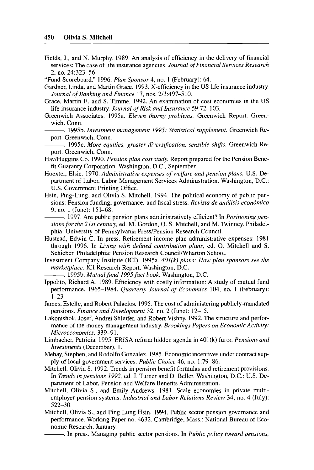Fields, J., and N. Murphy. 1989. An analysis of efficiency in the delivery of financial services: The case of life insurance agencies. *Journal of Financial Services Research*  2, no. 24:323-56.

"Fund Scoreboard." 1996. *Plan Sponsor* 4, no. 1 (February): 64.

- Gardner, Linda, and Martin Grace. 1993. X-efficiency in the **US** life insurance industry. *Journal of Banking and Finance* 17, nos. 2/3:497-5 10.
- Grace, Martin F., and **S.** Timme. 1992. An examination of cost economies in the **US**  life insurance industry. *Journal of Risk and Insurance* 59:72-103.
- Greenwich Associates. 1995a. *Eleven thorny problems.* Greenwich Report. Greenwich, Conn.
- . 1995b. *Investment management 1995: Statistical supplement.* Greenwich Report. Greenwich, Conn.
- . 199%. *More equities, greater diversijcation, sensible shifs.* Greenwich Report. Greenwich, Conn.
- HaylHuggins Co. 1990. *Pension plan cost study.* Report prepared for the Pension Benefit Guaranty Corporation. Washington, D.C., September.
- Hoexter, Elsie. 1970. *Administrative expenses of welfare and pension plans.* **U.S.** Department **of** Labor, Labor Management Services Administration. Washington, D.C.: U.S. Government Printing Office.
- Hsin, Ping-Lung, and Olivia **S.** Mitchell. 1994. The political economy **of** public pensions: Pension funding, governance, and fiscal stress. *Revista de ana'lisis econdmico*  9, no. 1 (June): 151-68.
	- . 1997. Are public pension plans administratively efficient? In *Positioning pensions for the 2Ist century,* ed. M. Gordon, 0. s. Mitchell, and **M.** Twinney. Philadelphia: University of Pennsylvania Press/Pension Research Council.
- Hustead, Edwin C. In press. Retirement income plan administrative expenses: 198 1 through 1996. In *Living with dejined contribution plans,* ed. *0.* Mitchell and **S.**  Schieber. Philadelphia: Pension Research Council/Wharton School.
- Investment Company Institute (ICI). 1995a. *401(k) plans: How plan sponsors see the marketplace.* ICI Research Report. Washington, D.C.
- . 1995b. *Mutual fund 1995 fact book.* Washington, D.C.
- Ippolito, Richard A. 1989. Efficiency with costly information: A study of mutual fund performance, 1965-1984. *Quarterly Journal of Economics* 104, no. 1 (February):  $1 - 23$ .
- James, Estelle, and Robert Palacios. 1995. The cost of administering publicly-mandated pensions. *Finance and Development* 32, no. 2 (June): 12-15.
- Lakonishok, Josef, Andrei Shleifer, and Robert Vishny. 1992. The structure and performance of the money management industry. *Brookings Papers on Economic Activity: Microeconomics,* 339-91.
- Limbacher, Patricia. 1995. ERISA reform hidden agenda in 401(k) furor. *Pensions and Investments* (December), **1.**
- Mehay, Stephen, and Rodolfo Gonzalez. 1985. Economic incentives under contract supply of local government services. *Public Choice* 46, no. 1:79-86.
- Mitchell, Olivia **S.** 1992. Trends in pension benefit formulas and retirement provisions. In *Trends in pensions 1992,* ed. J. Turner and D. Beller. Washington, D.C.: U.S. Department of Labor, Pension and Welfare Benefits Administration.
- Mitchell, Olivia **S.,** and Emily Andrews. 1981. Scale economies in private multiemployer pension systems. *Industrial and Labor Relations Review* 34, no. 4 (July): 522-30.
- Mitchell, Olivia **S.,** and Ping-Lung Hsin. 1994. Public sector pension governance and performance. Working Paper no. 4632. Cambridge, Mass.: National Bureau of Economic Research, January.
	- . In press. Managing public sector pensions. In *Public policy toward pensions,*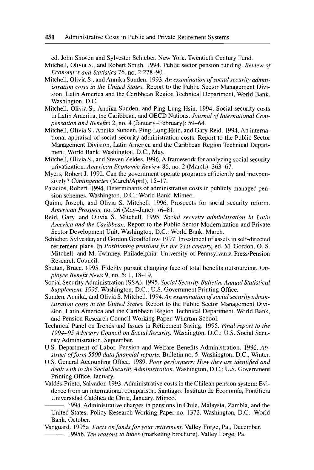ed. John Shoven and Sylvester Schieber. New York: Twentieth Century Fund.

- Mitchell, Olivia S., and Robert Smith. 1994. Public sector pension funding. *Review of Economics and Statistics* 76, no. 2:278-90.
- Mitchell, Olivia S., and Annika Sunden. 1993. *An examination of social security administration costs in the United States.* Report to the Public Sector Management Division, Latin America and the Caribbean Region Technical Department, World Bank. Washington, D.C.
- Mitchell, Olivia S., Annika Sunden, and Ping-Lung Hsin. 1994. Social security costs in Latin America, the Caribbean, and OECD Nations. *Journal of International Compensation and Benejts 2,* no. 4 (January-February): 59-64.
- Mitchell, Olivia S., Annika Sunden, Ping-Lung Hsin, and Gary Reid. 1994. An international appraisal of social security administration costs. Report to the Public Sector Management Division, Latin America and the Caribbean Region Technical Department, World Bank. Washington, D.C., May.
- Mitchell, Olivia **S.,** and Steven Zeldes. 1996. A framework for analyzing social security privatization. *American Economic Review* 86, no. *2* (March): 363-67.
- Myers, Robert **J.** 1992. Can the government operate programs efficiently and inexpensively? *Contingencies* (March/April), 15-17.
- Palacios, Robert. 1994. Determinants of administrative costs in publicly managed pension schemes. Washington, D.C.: World Bank. Mimeo.
- Quinn, Joseph, and Olivia S. Mitchell. 1996. Prospects for social security reform. *American Prospect,* no. 26 (May-June): 76-8 I.
- Reid, Gary, and Olivia S. Mitchell. 1995. *Social security administration in Latin America and the Caribbean.* Report to the Public Sector Modernization and Private Sector Development Unit, Washington, D.C.: World Bank, March.
- Schieber, Sylvester, and Gordon Goodfellow. 1997. Investment of assets in self-directed retirement plans. In *Positioning pensions for the 21st centuy,* ed. M. Gordon, 0. S. Mitchell, and M. Twinney. Philadelphia: University of Pennsylvania Press/Pension Research Council.
- Shutan, Bruce. 1995. Fidelity pursuit changing face of total benefits outsourcing. *Employee Benejt News* 9, no. *5:* 1, 18-19.
- Social Security Administration (SSA). 1995. *Social Security Bulletin, Annual Statistical Supplement, 1995.* Washington, D.C.: U.S. Government Printing Office.
- Sunden, Annika, and Olivia S. Mitchell. 1994. *An examinarion of social security administration costs in the United States.* Report to the Public Sector Management Division, Latin America and the Caribbean Region Technical Department, World Bank, and Pension Research Council Working Paper. Wharton School.
- Technical Panel on Trends and Issues in Retirement Saving. 1995. *Final report to the 1994-95 Advisory Council on Social Security.* Washington, D.C.: U.S. Social Security Administration, September.
- **US.** Department of Labor. Pension and Welfare Benefits Administration. 1996. *Abstract ofform 5500 datajnancial reports.* Bulletin no. *5.* Washington, D.C., Winter.
- U.S. General Accounting Office. 1989. Poor performers: How they are identified and *dealt with in the Social Security Administration.* Washington, D.C.: U.S. Government Printing Office, January.
- Valdés-Prieto, Salvador. 1993. Administrative costs in the Chilean pension system: Evidence from an international comparison. Santiago: Instituto de Econom'a, Pontificia Universidad Cat6lica de Chile, January. Mimeo.

. 1994. Administrative charges in pensions in Chile, Malaysia, Zambia, and the United States. Policy Research Working Paper no. 1372. Washington, D.C.: World Bank, October.

- Vanguard. 1995a. *Facts on funds for your retirement.* Valley Forge, Pa., December.
	- . 1995b. *Ten reasons to index* (marketing brochure). Valley Forge, Pa.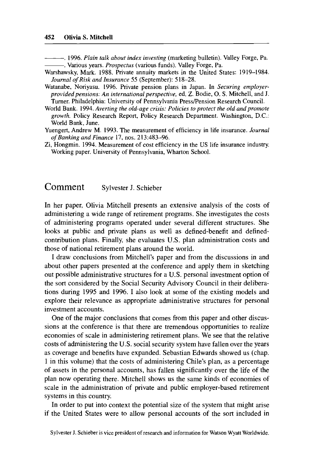- Warshawsky, Mark. 1988. Private annuity markets in the United States: 1919-1984. *Journal of Risk and Insurance* 55 (September): 518-28.
- Watanabe, Noriyasu. 1996. Private pension plans in Japan. In *Securing employerprovided pensions: An international perspective,* ed. *Z.* Bodie, 0. s. Mitchell, and J. Turner. Philadelphia: University of Pennsylvania Press/Pension Research Council.
- World Bank. 1994. *Averting the old-age crisis: Policies to protect the old and promote growth.* Policy Research Report, Policy Research Department. Washington, D.C.: World Bank, June.
- Yuengert, Andrew **M.** 1993. **The** measurement of efficiency in life insurance. *Journal of Banking and Finance* 17, nos. 213:483-96.
- Zi, Hongmin. 1994. Measurement of cost efficiency in the **US** life insurance industry. Working paper. University of Pennsylvania, Wharton School.

# Comment Sylvester J. Schieber

In her paper, Olivia Mitchell presents an extensive analysis of the costs of administering a wide range of retirement programs. She investigates the costs of administering programs operated under several different structures. She looks at public and private plans as well as defined-benefit and definedcontribution plans. Finally, she evaluates U.S. plan administration costs and those of national retirement plans around the world.

I draw conclusions from Mitchell's paper and from the discussions in and about other papers presented at the conference and apply them in sketching out possible administrative structures for a US. personal investment option of the sort considered by the Social Security Advisory Council in their deliberations during 1995 and 1996. I also look at some of the existing models and explore their relevance as appropriate administrative structures for personal investment accounts.

One of the major conclusions that comes from this paper and other discussions at the conference is that there are tremendous opportunities to realize economies of scale in administering retirement plans. We see that the relative costs of administering the U.S. social security system have fallen over the years as coverage and benefits have expanded. Sebastian Edwards showed us (chap. 1 in this volume) that the costs of administering Chile's plan, as a percentage of assets in the personal accounts, has fallen significantly over the life of the plan now operating there. Mitchell shows us the same kinds of economies of scale in the administration of private and public employer-based retirement systems in this country.

In order to put into context the potential size of the system that might arise if the United States were to allow personal accounts of the sort included in

<sup>.</sup> 1996. *Plain talk about index investing* (marketing bulletin). Valley Forge, Pa. . Various years. *Prospectus* (various funds). Valley Forge, Pa.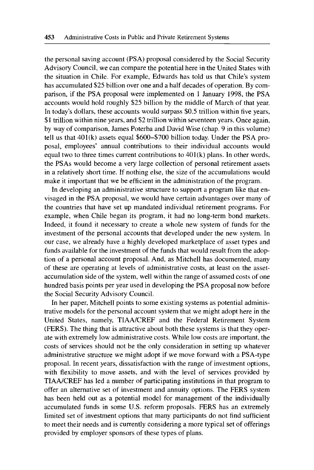the personal saving account (PSA) proposal considered by the Social Security Advisory Council, we can compare the potential here in the United States with the situation in Chile. For example, Edwards has told us that Chile's system has accumulated *\$25* billion over one and a half decades of operation. By comparison, if the PSA proposal were implemented on 1 January 1998, the PSA accounts would hold roughly *\$25* billion by the middle of March of that year. In today's dollars, these accounts would surpass *\$0.5* trillion within five years, \$1 trillion within nine years, and *\$2* trillion within seventeen years. Once again, by way of comparison, James Poterba and David Wise (chap. 9 in this volume) tell us that 401(k) assets equal \$600-\$700 billion today. Under the PSA proposal, employees' annual contributions to their individual accounts would equal two to three times current contributions to  $401(k)$  plans. In other words, the PSAs would become a very large collection of personal retirement assets in a relatively short time. If nothing else, the size of the accumulations would make it important that we be efficient in the administration of the program.

In developing an administrative structure to support a program like that envisaged in the PSA proposal, we would have certain advantages over many of the countries that have set up mandated individual retirement programs. For example, when Chile began its program, it had no long-term bond markets. Indeed, it found it necessary to create a whole new system of funds for the investment of the personal accounts that developed under the new system. In our case, we already have a highly developed marketplace of asset types and funds available for the investment of the funds that would result from the adoption of a personal account proposal. And, as Mitchell has documented, many of these are operating at levels of administrative costs, at least on the assetaccumulation side of the system, well within the range of assumed costs of one hundred basis points per year used in developing the PSA proposal now before the Social Security Advisory Council.

In her paper, Mitchell points to some existing systems as potential administrative models for the personal account system that we might adopt here in the United States, namely, TIAA/CREF and the Federal Retirement System (FERS). The thing that is attractive about both these systems is that they operate with extremely low administrative costs. While low costs are important, the costs of services should not be the only consideration in setting up whatever administrative structure we might adopt if we move forward with a PSA-type proposal. In recent years, dissatisfaction with the range of investment options, with flexibility to move assets, and with the level of services provided by TIANCREF has led a number of participating institutions in that program to offer an alternative set of investment and annuity options. The FERS system has been held out as a potential model for management of the individually accumulated funds in some U.S. reform proposals. FERS has an extremely limited set of investment options that many participants do not find sufficient to meet their needs and is currently considering a more typical set of offerings provided by employer sponsors of these types of plans.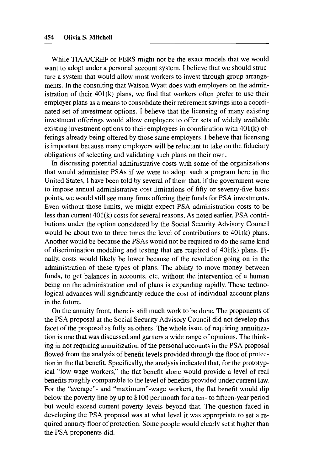While TIANCREF or FERS might not be the exact models that we would want to adopt under a personal account system, I believe that we should structure a system that would allow most workers to invest through group arrangements. In the consulting that Watson Wyatt does with employers on the administration of their 401(k) plans, we find that workers often prefer to use their employer plans as a means to consolidate their retirement savings into a coordinated set of investment options. I believe that the licensing of many existing investment offerings would allow employers to offer sets of widely available existing investment options to their employees in coordination with 401 **(k)** offerings already being offered by those same employers. I believe that licensing is important because many employers will be reluctant to take on the fiduciary obligations of selecting and validating such plans on their own.

In discussing potential administrative costs with some of the organizations that would administer PSAs if we were to adopt such a program here in the United States, I have been told by several of them that, if the government were to impose annual administrative cost limitations of fifty or seventy-five basis points, we would still see many firms offering their funds for PSA investments. Even without those limits, we might expect PSA administration costs to be less than current 401(k) costs for several reasons. As noted earlier, PSA contributions under the option considered by the Social Security Advisory Council would be about two to three times the level of contributions to 401(k) plans. Another would be because the PSAs would not be required to do the same kind of discrimination modeling and testing that are required of 401(k) plans. Finally, costs would likely be lower because of the revolution going on in the administration of these types of plans. The ability to move money between funds, to get balances in accounts, etc. without the intervention of a human being on the administration end of plans is expanding rapidly. These technological advances will significantly reduce the cost of individual account plans in the future.

On the annuity front, there is still much work to be done. The proponents of the PSA proposal at the Social Security Advisory Council did not develop this facet of the proposal as fully as others. The whole issue of requiring annuitization is one that was discussed and garners a wide range of opinions. The thinking in not requiring annuitization of the personal accounts in the PSA proposal flowed from the analysis of benefit levels provided through the floor of protection in the flat benefit. Specifically, the analysis indicated that, for the prototypical "low-wage workers," the flat benefit alone would provide a level of real benefits roughly comparable to the level of benefits provided under current law. For the "average"- and "maximum"-wage workers, the flat benefit would dip below the poverty line by up to \$100 per month for a ten- to fifteen-year period but would exceed current poverty levels beyond that. The question faced in developing the PSA proposal was at what level it was appropriate to set a required annuity floor of protection. Some people would clearly set it higher than the PSA proponents did.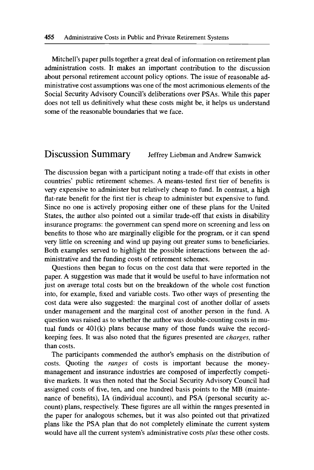Mitchell's paper pulls together a great deal of information on retirement plan administration costs. It makes an important contribution to the discussion about personal retirement account policy options. The issue of reasonable administrative cost assumptions was one of the most acrimonious elements of the Social Security Advisory Council's deliberations over PSAs. While this paper does not tell us definitively what these costs might be, it helps us understand some of the reasonable boundaries that we face.

# Discussion Summary Jeffrey Liebman and Andrew Samwick

The discussion began with a participant noting a trade-off that exists in other countries' public retirement schemes. A means-tested first tier of benefits is very expensive to administer but relatively cheap to fund. In contrast, a high flat-rate benefit for the first tier is cheap to administer but expensive to fund. Since no one is actively proposing either one of these plans for the United States, the author also pointed out a similar trade-off that exists in disability insurance programs: the government can spend more on screening and less on benefits to those who are marginally eligible for the program, or it can spend very little on screening and wind up paying out greater sums to beneficiaries. Both examples served to highlight the possible interactions between the administrative and the funding costs of retirement schemes.

Questions then began to focus on the cost data that were reported in the paper. A suggestion was made that it would be useful to have information not just on average total costs but on the breakdown of the whole cost function into, for example, fixed and variable costs. Two other ways of presenting the cost data were also suggested: the marginal cost of another dollar of assets under management and the marginal cost of another person in the fund. A question was raised as to whether the author was double-counting costs in mutual funds or 401(k) plans because many of those funds waive the recordkeeping fees. It was also noted that the figures presented are *charges,* rather than costs.

The participants commended the author's emphasis on the distribution of costs. Quoting the *ranges* of costs is important because the moneymanagement and insurance industries are composed of imperfectly competitive markets. It was then noted that the Social Security Advisory Council had assigned costs of five, ten, and one hundred basis points to the MB (maintenance of benefits), IA (individual account), and PSA (personal security account) plans, respectively. These figures are all within the ranges presented in the paper for analogous schemes, but it was also pointed out that privatized plans like the PSA plan that do not completely eliminate the current system would have all the current system's administrative costs *plus* these other costs.